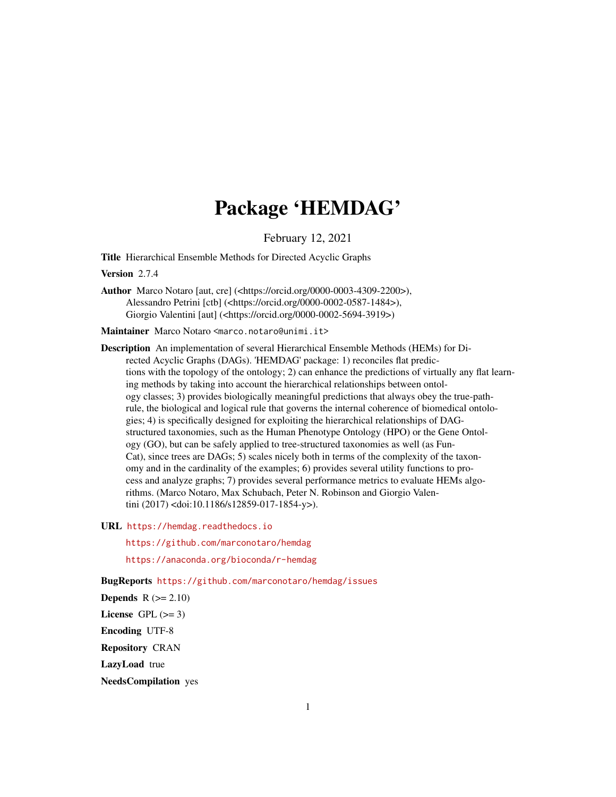# Package 'HEMDAG'

February 12, 2021

Title Hierarchical Ensemble Methods for Directed Acyclic Graphs

Version 2.7.4

Author Marco Notaro [aut, cre] (<https://orcid.org/0000-0003-4309-2200>), Alessandro Petrini [ctb] (<https://orcid.org/0000-0002-0587-1484>), Giorgio Valentini [aut] (<https://orcid.org/0000-0002-5694-3919>)

Maintainer Marco Notaro <marco.notaro@unimi.it>

Description An implementation of several Hierarchical Ensemble Methods (HEMs) for Directed Acyclic Graphs (DAGs). 'HEMDAG' package: 1) reconciles flat predictions with the topology of the ontology; 2) can enhance the predictions of virtually any flat learning methods by taking into account the hierarchical relationships between ontology classes; 3) provides biologically meaningful predictions that always obey the true-pathrule, the biological and logical rule that governs the internal coherence of biomedical ontologies; 4) is specifically designed for exploiting the hierarchical relationships of DAGstructured taxonomies, such as the Human Phenotype Ontology (HPO) or the Gene Ontology (GO), but can be safely applied to tree-structured taxonomies as well (as Fun-Cat), since trees are DAGs; 5) scales nicely both in terms of the complexity of the taxonomy and in the cardinality of the examples; 6) provides several utility functions to process and analyze graphs; 7) provides several performance metrics to evaluate HEMs algorithms. (Marco Notaro, Max Schubach, Peter N. Robinson and Giorgio Valentini (2017) <doi:10.1186/s12859-017-1854-y>).

URL <https://hemdag.readthedocs.io>

<https://github.com/marconotaro/hemdag>

<https://anaconda.org/bioconda/r-hemdag>

BugReports <https://github.com/marconotaro/hemdag/issues>

Depends  $R (= 2.10)$ 

License GPL  $(>= 3)$ 

Encoding UTF-8

Repository CRAN

LazyLoad true

NeedsCompilation yes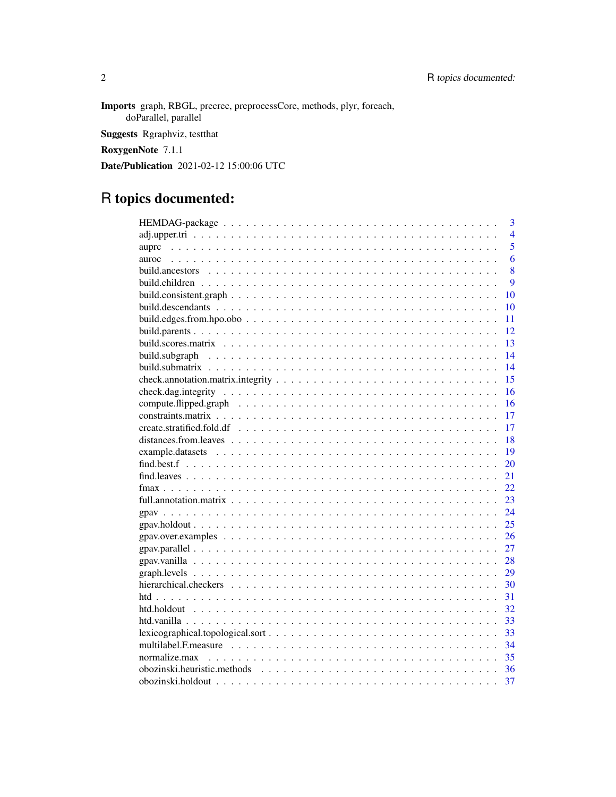Imports graph, RBGL, precrec, preprocessCore, methods, plyr, foreach, doParallel, parallel Suggests Rgraphviz, testthat RoxygenNote 7.1.1 Date/Publication 2021-02-12 15:00:06 UTC

# R topics documented:

| 3                                                                                                                                        |
|------------------------------------------------------------------------------------------------------------------------------------------|
| $\overline{4}$                                                                                                                           |
| 5<br>auprc                                                                                                                               |
| 6<br>auroc                                                                                                                               |
| 8                                                                                                                                        |
| 9                                                                                                                                        |
| 10                                                                                                                                       |
| 10                                                                                                                                       |
| build.edges.from.hpo.obo $\ldots \ldots \ldots \ldots \ldots \ldots \ldots \ldots \ldots \ldots \ldots$<br>11                            |
| 12                                                                                                                                       |
| 13                                                                                                                                       |
| 14                                                                                                                                       |
| 14                                                                                                                                       |
| 15                                                                                                                                       |
| 16                                                                                                                                       |
| 16                                                                                                                                       |
| 17                                                                                                                                       |
| 17                                                                                                                                       |
| 18                                                                                                                                       |
| 19                                                                                                                                       |
| 20                                                                                                                                       |
| 21                                                                                                                                       |
| 22                                                                                                                                       |
| 23                                                                                                                                       |
| 24                                                                                                                                       |
| 25                                                                                                                                       |
| 26<br>$\text{grav}.\text{over-examples} \dots \dots \dots \dots \dots \dots \dots \dots \dots \dots \dots \dots \dots \dots \dots \dots$ |
| 27                                                                                                                                       |
| 28                                                                                                                                       |
| 29                                                                                                                                       |
| 30                                                                                                                                       |
| 31                                                                                                                                       |
| 32                                                                                                                                       |
| 33                                                                                                                                       |
| $lexicographical.topological.sort \dots \dots \dots \dots \dots \dots \dots \dots \dots \dots \dots \dots \dots$<br>33                   |
| 34                                                                                                                                       |
| 35                                                                                                                                       |
| 36                                                                                                                                       |
| 37                                                                                                                                       |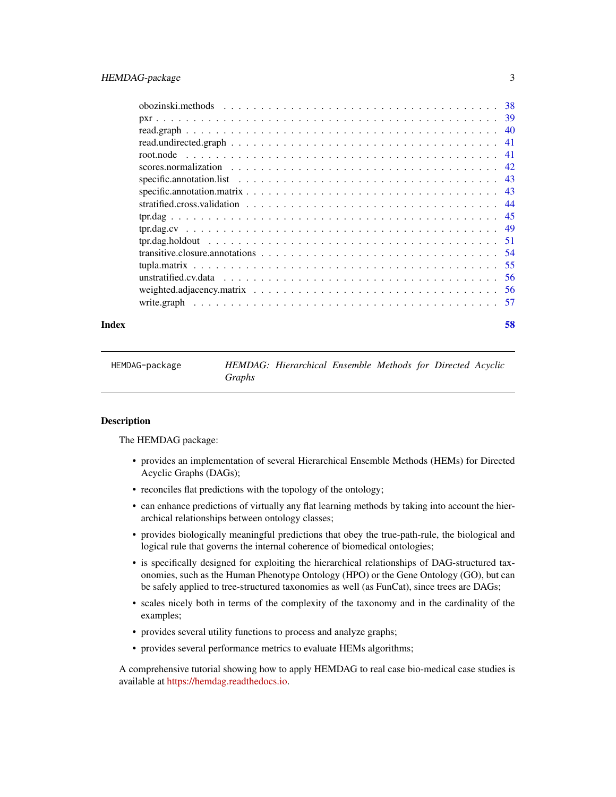<span id="page-2-0"></span>

| Index | 58 |
|-------|----|

HEMDAG-package *HEMDAG: Hierarchical Ensemble Methods for Directed Acyclic Graphs*

### **Description**

The HEMDAG package:

- provides an implementation of several Hierarchical Ensemble Methods (HEMs) for Directed Acyclic Graphs (DAGs);
- reconciles flat predictions with the topology of the ontology;
- can enhance predictions of virtually any flat learning methods by taking into account the hierarchical relationships between ontology classes;
- provides biologically meaningful predictions that obey the true-path-rule, the biological and logical rule that governs the internal coherence of biomedical ontologies;
- is specifically designed for exploiting the hierarchical relationships of DAG-structured taxonomies, such as the Human Phenotype Ontology (HPO) or the Gene Ontology (GO), but can be safely applied to tree-structured taxonomies as well (as FunCat), since trees are DAGs;
- scales nicely both in terms of the complexity of the taxonomy and in the cardinality of the examples;
- provides several utility functions to process and analyze graphs;
- provides several performance metrics to evaluate HEMs algorithms;

A comprehensive tutorial showing how to apply HEMDAG to real case bio-medical case studies is available at [https://hemdag.readthedocs.io.](https://hemdag.readthedocs.io)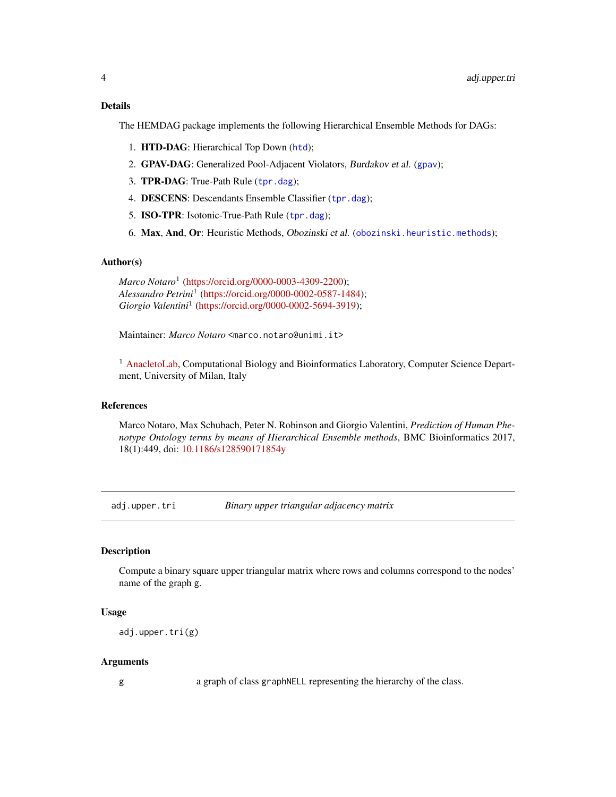### <span id="page-3-0"></span>Details

The HEMDAG package implements the following Hierarchical Ensemble Methods for DAGs:

- 1. HTD-DAG: Hierarchical Top Down ([htd](#page-30-1));
- 2. GPAV-DAG: Generalized Pool-Adjacent Violators, Burdakov et al. ([gpav](#page-23-1));
- 3. TPR-DAG: True-Path Rule ([tpr.dag](#page-44-1));
- 4. DESCENS: Descendants Ensemble Classifier ([tpr.dag](#page-44-1));
- 5. ISO-TPR: Isotonic-True-Path Rule ([tpr.dag](#page-44-1));
- 6. Max, And, Or: Heuristic Methods, Obozinski et al. ([obozinski.heuristic.methods](#page-35-1));

#### Author(s)

*Marco Notaro*<sup>1</sup> [\(https://orcid.org/0000-0003-4309-2200\)](https://orcid.org/0000-0003-4309-2200); *Alessandro Petrini*<sup>1</sup> [\(https://orcid.org/0000-0002-0587-1484\)](https://orcid.org/0000-0002-0587-1484); *Giorgio Valentini*<sup>1</sup> [\(https://orcid.org/0000-0002-5694-3919\)](https://orcid.org/0000-0002-5694-3919);

Maintainer: *Marco Notaro* <marco.notaro@unimi.it>

<sup>1</sup> [AnacletoLab,](https://sites.google.com/site/anacletolaboratory/) Computational Biology and Bioinformatics Laboratory, Computer Science Department, University of Milan, Italy

#### References

Marco Notaro, Max Schubach, Peter N. Robinson and Giorgio Valentini, *Prediction of Human Phenotype Ontology terms by means of Hierarchical Ensemble methods*, BMC Bioinformatics 2017, 18(1):449, doi: [10.1186/s128590171854y](https://doi.org/10.1186/s12859-017-1854-y)

adj.upper.tri *Binary upper triangular adjacency matrix*

#### Description

Compute a binary square upper triangular matrix where rows and columns correspond to the nodes' name of the graph g.

#### Usage

adj.upper.tri(g)

#### Arguments

g a graph of class graphNELL representing the hierarchy of the class.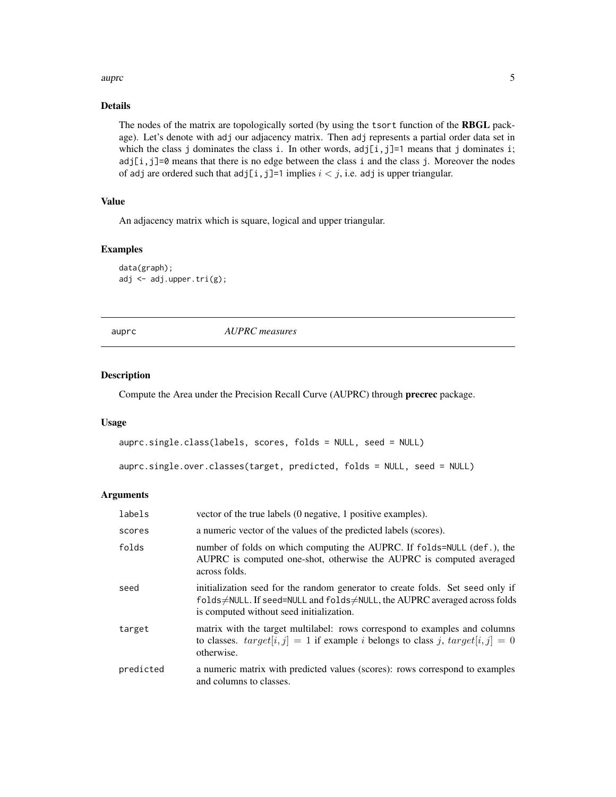#### <span id="page-4-0"></span>auproches the contract of the contract of the contract of the contract of the contract of the contract of the contract of the contract of the contract of the contract of the contract of the contract of the contract of the

### Details

The nodes of the matrix are topologically sorted (by using the tsort function of the RBGL package). Let's denote with adj our adjacency matrix. Then adj represents a partial order data set in which the class j dominates the class i. In other words,  $adj[i,j]=1$  means that j dominates i; adj[i,j]=0 means that there is no edge between the class i and the class j. Moreover the nodes of adj are ordered such that  $adj[i,j]=1$  implies  $i < j$ , i.e. adj is upper triangular.

### Value

An adjacency matrix which is square, logical and upper triangular.

### Examples

```
data(graph);
adj <- adj.upper.tri(g);
```
<span id="page-4-1"></span>auprc *AUPRC measures*

#### Description

Compute the Area under the Precision Recall Curve (AUPRC) through precrec package.

#### Usage

```
auprc.single.class(labels, scores, folds = NULL, seed = NULL)
```

```
auprc.single.over.classes(target, predicted, folds = NULL, seed = NULL)
```
### Arguments

| labels    | vector of the true labels (0 negative, 1 positive examples).                                                                                                                                           |
|-----------|--------------------------------------------------------------------------------------------------------------------------------------------------------------------------------------------------------|
| scores    | a numeric vector of the values of the predicted labels (scores).                                                                                                                                       |
| folds     | number of folds on which computing the AUPRC. If folds=NULL (def.), the<br>AUPRC is computed one-shot, otherwise the AUPRC is computed averaged<br>across folds.                                       |
| seed      | initialization seed for the random generator to create folds. Set seed only if<br>folds≠NULL. If seed=NULL and folds≠NULL, the AUPRC averaged across folds<br>is computed without seed initialization. |
| target    | matrix with the target multilabel: rows correspond to examples and columns<br>to classes. $target[i, j] = 1$ if example <i>i</i> belongs to class <i>j</i> , $target[i, j] = 0$<br>otherwise.          |
| predicted | a numeric matrix with predicted values (scores): rows correspond to examples<br>and columns to classes.                                                                                                |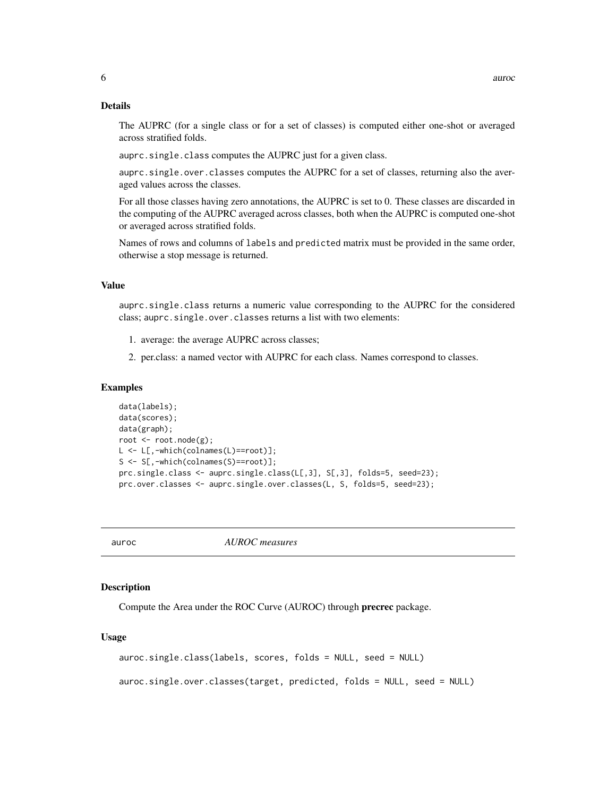### <span id="page-5-0"></span>Details

The AUPRC (for a single class or for a set of classes) is computed either one-shot or averaged across stratified folds.

auprc.single.class computes the AUPRC just for a given class.

auprc.single.over.classes computes the AUPRC for a set of classes, returning also the averaged values across the classes.

For all those classes having zero annotations, the AUPRC is set to 0. These classes are discarded in the computing of the AUPRC averaged across classes, both when the AUPRC is computed one-shot or averaged across stratified folds.

Names of rows and columns of labels and predicted matrix must be provided in the same order, otherwise a stop message is returned.

### Value

auprc.single.class returns a numeric value corresponding to the AUPRC for the considered class; auprc.single.over.classes returns a list with two elements:

- 1. average: the average AUPRC across classes;
- 2. per.class: a named vector with AUPRC for each class. Names correspond to classes.

#### Examples

```
data(labels);
data(scores);
data(graph);
root <- root.node(g);
L <- L[,-which(colnames(L)==root)];
S <- S[,-which(colnames(S)==root)];
prc.single.class <- auprc.single.class(L[,3], S[,3], folds=5, seed=23);
prc.over.classes <- auprc.single.over.classes(L, S, folds=5, seed=23);
```
auroc *AUROC measures*

#### Description

Compute the Area under the ROC Curve (AUROC) through precrec package.

#### Usage

```
auroc.single.class(labels, scores, folds = NULL, seed = NULL)
```
auroc.single.over.classes(target, predicted, folds = NULL, seed = NULL)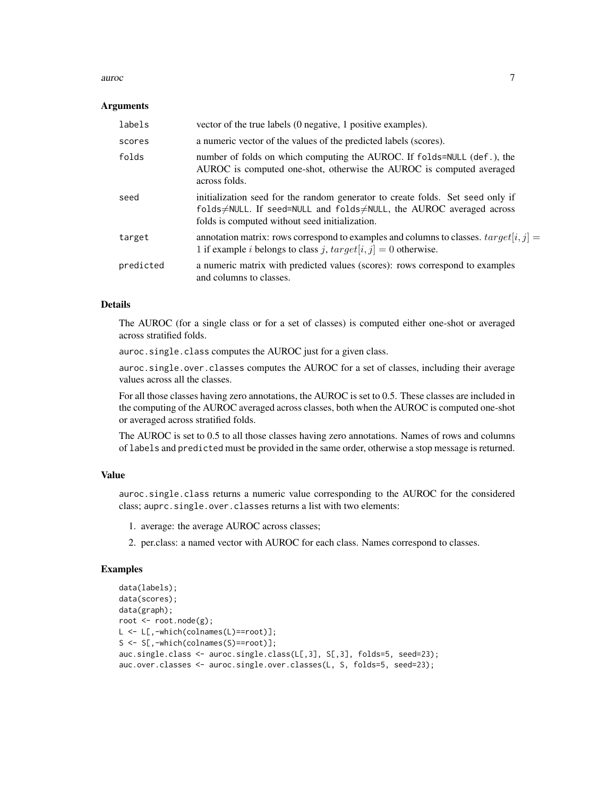#### auroc 7 august 2008 august 2008 august 2008 august 2008 august 2008 august 2008 august 2008 august 2008 august 2008 august 2008 august 2008 august 2008 august 2008 august 2008 august 2008 august 2008 august 2008 august 200

#### Arguments

| labels    | vector of the true labels (0 negative, 1 positive examples).                                                                                                                                           |
|-----------|--------------------------------------------------------------------------------------------------------------------------------------------------------------------------------------------------------|
| scores    | a numeric vector of the values of the predicted labels (scores).                                                                                                                                       |
| folds     | number of folds on which computing the AUROC. If folds=NULL (def.), the<br>AUROC is computed one-shot, otherwise the AUROC is computed averaged<br>across folds.                                       |
| seed      | initialization seed for the random generator to create folds. Set seed only if<br>folds≠NULL. If seed=NULL and folds≠NULL, the AUROC averaged across<br>folds is computed without seed initialization. |
| target    | annotation matrix: rows correspond to examples and columns to classes. $target[i, j] =$<br>1 if example <i>i</i> belongs to class <i>j</i> , $target[i, j] = 0$ otherwise.                             |
| predicted | a numeric matrix with predicted values (scores): rows correspond to examples<br>and columns to classes.                                                                                                |

### Details

The AUROC (for a single class or for a set of classes) is computed either one-shot or averaged across stratified folds.

auroc.single.class computes the AUROC just for a given class.

auroc.single.over.classes computes the AUROC for a set of classes, including their average values across all the classes.

For all those classes having zero annotations, the AUROC is set to 0.5. These classes are included in the computing of the AUROC averaged across classes, both when the AUROC is computed one-shot or averaged across stratified folds.

The AUROC is set to 0.5 to all those classes having zero annotations. Names of rows and columns of labels and predicted must be provided in the same order, otherwise a stop message is returned.

### Value

auroc.single.class returns a numeric value corresponding to the AUROC for the considered class; auprc.single.over.classes returns a list with two elements:

- 1. average: the average AUROC across classes;
- 2. per.class: a named vector with AUROC for each class. Names correspond to classes.

```
data(labels);
data(scores);
data(graph);
root <- root.node(g);
L <- L[,-which(colnames(L)==root)];
S <- S[,-which(colnames(S)==root)];
auc.single.class <- auroc.single.class(L[,3], S[,3], folds=5, seed=23);
auc.over.classes <- auroc.single.over.classes(L, S, folds=5, seed=23);
```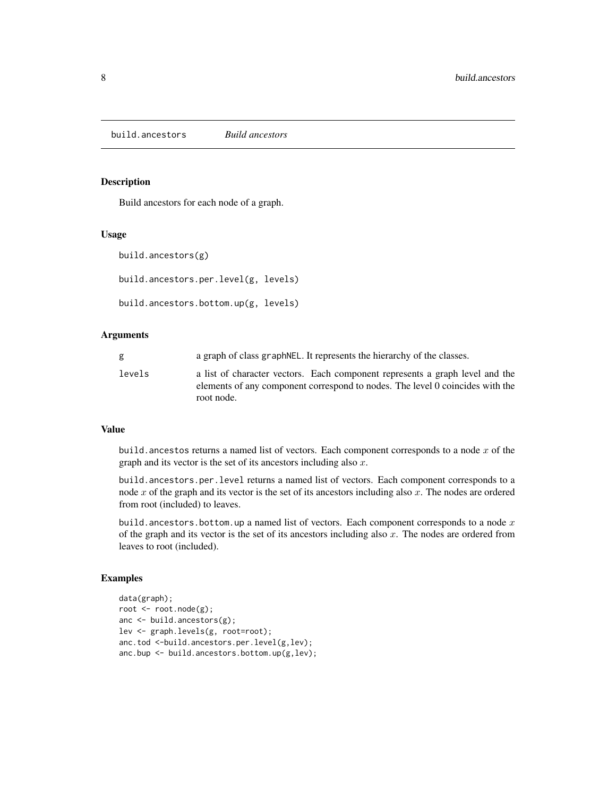<span id="page-7-0"></span>build.ancestors *Build ancestors*

### Description

Build ancestors for each node of a graph.

#### Usage

```
build.ancestors(g)
```

```
build.ancestors.per.level(g, levels)
```

```
build.ancestors.bottom.up(g, levels)
```
#### **Arguments**

| g      | a graph of class graph NEL. It represents the hierarchy of the classes.                                                                                                     |
|--------|-----------------------------------------------------------------------------------------------------------------------------------------------------------------------------|
| levels | a list of character vectors. Each component represents a graph level and the<br>elements of any component correspond to nodes. The level 0 coincides with the<br>root node. |

#### Value

build. ancestos returns a named list of vectors. Each component corresponds to a node  $x$  of the graph and its vector is the set of its ancestors including also  $x$ .

build.ancestors.per.level returns a named list of vectors. Each component corresponds to a node  $x$  of the graph and its vector is the set of its ancestors including also  $x$ . The nodes are ordered from root (included) to leaves.

build.ancestors.bottom.up a named list of vectors. Each component corresponds to a node  $x$ of the graph and its vector is the set of its ancestors including also  $x$ . The nodes are ordered from leaves to root (included).

```
data(graph);
root <- root.node(g);
anc <- build.ancestors(g);
lev <- graph.levels(g, root=root);
anc.tod <-build.ancestors.per.level(g,lev);
anc.bup <- build.ancestors.bottom.up(g,lev);
```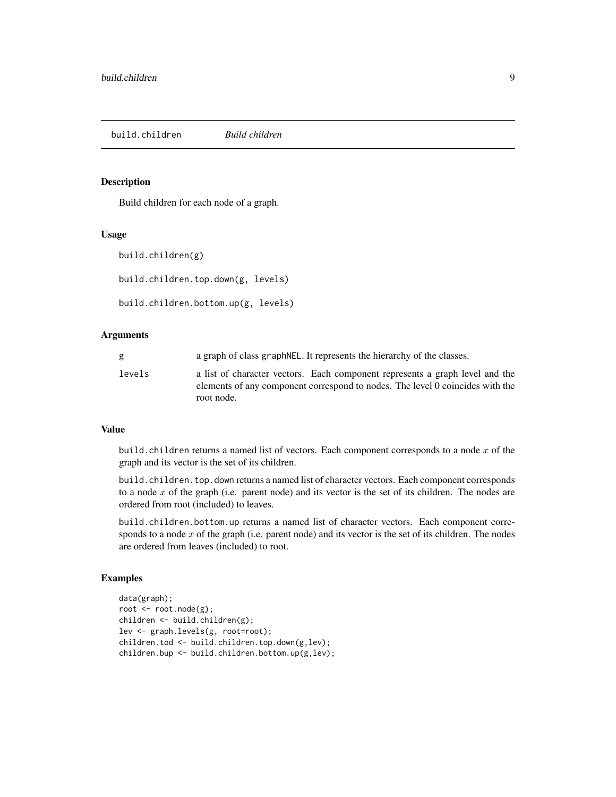<span id="page-8-0"></span>build.children *Build children*

### Description

Build children for each node of a graph.

#### Usage

```
build.children(g)
```

```
build.children.top.down(g, levels)
```

```
build.children.bottom.up(g, levels)
```
#### **Arguments**

| g      | a graph of class graph NEL. It represents the hierarchy of the classes.                                                                                                     |
|--------|-----------------------------------------------------------------------------------------------------------------------------------------------------------------------------|
| levels | a list of character vectors. Each component represents a graph level and the<br>elements of any component correspond to nodes. The level 0 coincides with the<br>root node. |

#### Value

build.children returns a named list of vectors. Each component corresponds to a node  $x$  of the graph and its vector is the set of its children.

build.children.top.down returns a named list of character vectors. Each component corresponds to a node  $x$  of the graph (i.e. parent node) and its vector is the set of its children. The nodes are ordered from root (included) to leaves.

build.children.bottom.up returns a named list of character vectors. Each component corresponds to a node  $x$  of the graph (i.e. parent node) and its vector is the set of its children. The nodes are ordered from leaves (included) to root.

```
data(graph);
root <- root.node(g);
children <- build.children(g);
lev <- graph.levels(g, root=root);
children.tod <- build.children.top.down(g,lev);
children.bup <- build.children.bottom.up(g,lev);
```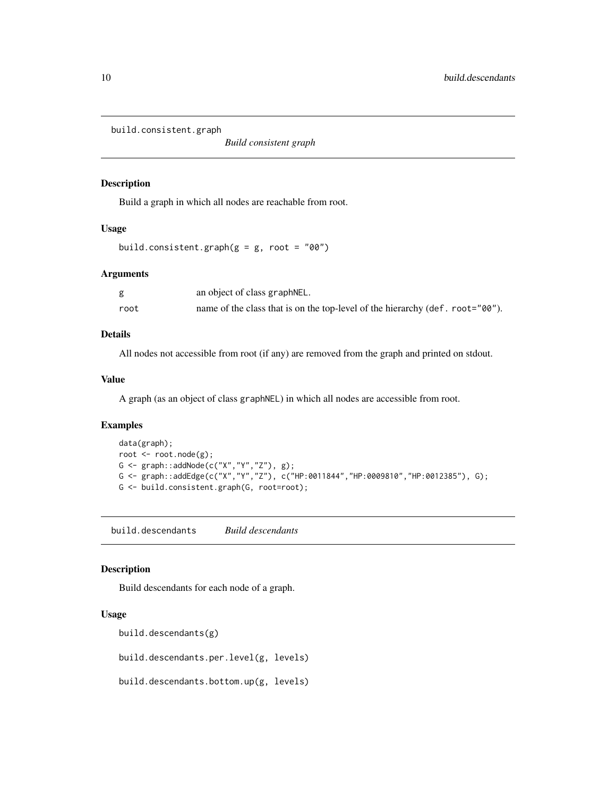<span id="page-9-0"></span>build.consistent.graph

*Build consistent graph*

### Description

Build a graph in which all nodes are reachable from root.

#### Usage

```
build.consistent.graph(g = g, root = "00")
```
#### Arguments

|      | an object of class graphNEL.                                                  |
|------|-------------------------------------------------------------------------------|
| root | name of the class that is on the top-level of the hierarchy (def. root="00"). |

#### Details

All nodes not accessible from root (if any) are removed from the graph and printed on stdout.

#### Value

A graph (as an object of class graphNEL) in which all nodes are accessible from root.

#### Examples

```
data(graph);
root <- root.node(g);
G \leq graph::addNode(c("X","Y","Z"), g);
G <- graph::addEdge(c("X","Y","Z"), c("HP:0011844","HP:0009810","HP:0012385"), G);
G <- build.consistent.graph(G, root=root);
```
build.descendants *Build descendants*

#### Description

Build descendants for each node of a graph.

### Usage

```
build.descendants(g)
```
build.descendants.per.level(g, levels)

build.descendants.bottom.up(g, levels)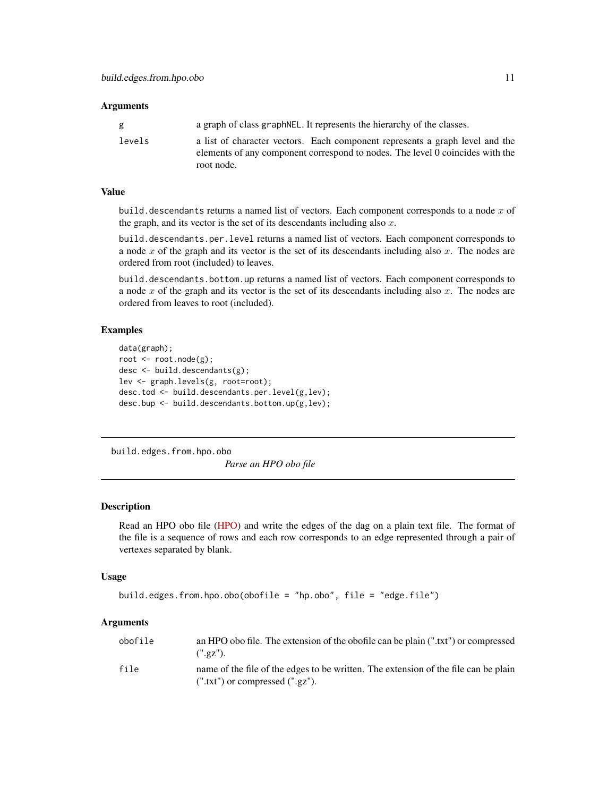#### <span id="page-10-0"></span>**Arguments**

| g      | a graph of class graph NEL. It represents the hierarchy of the classes.                                                                                                     |
|--------|-----------------------------------------------------------------------------------------------------------------------------------------------------------------------------|
| levels | a list of character vectors. Each component represents a graph level and the<br>elements of any component correspond to nodes. The level 0 coincides with the<br>root node. |

#### Value

build. descendants returns a named list of vectors. Each component corresponds to a node  $x$  of the graph, and its vector is the set of its descendants including also  $x$ .

build.descendants.per.level returns a named list of vectors. Each component corresponds to a node  $x$  of the graph and its vector is the set of its descendants including also  $x$ . The nodes are ordered from root (included) to leaves.

build.descendants.bottom.up returns a named list of vectors. Each component corresponds to a node  $x$  of the graph and its vector is the set of its descendants including also  $x$ . The nodes are ordered from leaves to root (included).

### Examples

```
data(graph);
root <- root.node(g);
desc <- build.descendants(g);
lev <- graph.levels(g, root=root);
desc.tod <- build.descendants.per.level(g,lev);
desc.bup <- build.descendants.bottom.up(g,lev);
```
build.edges.from.hpo.obo

*Parse an HPO obo file*

#### Description

Read an HPO obo file [\(HPO\)](http://human-phenotype-ontology.github.io/) and write the edges of the dag on a plain text file. The format of the file is a sequence of rows and each row corresponds to an edge represented through a pair of vertexes separated by blank.

#### Usage

```
build.edges.from.hpo.obo(obofile = "hp.obo", file = "edge.file")
```
### Arguments

| obofile | an HPO obo file. The extension of the obofile can be plain (".txt") or compressed<br>(".gZ").                                |
|---------|------------------------------------------------------------------------------------------------------------------------------|
| file    | name of the file of the edges to be written. The extension of the file can be plain<br>$(''.txt")$ or compressed $(''.gz").$ |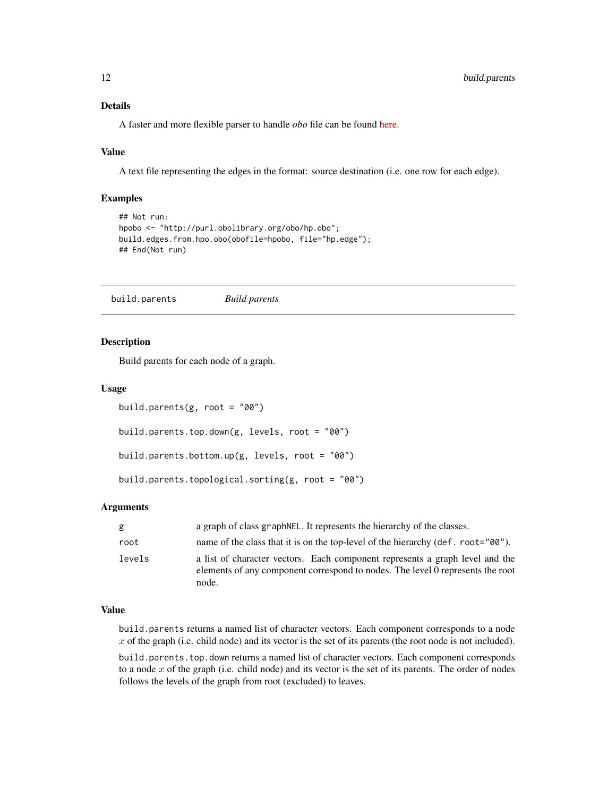### Details

A faster and more flexible parser to handle *obo* file can be found [here.](https://github.com/marconotaro/obogaf-parser)

### Value

A text file representing the edges in the format: source destination (i.e. one row for each edge).

### Examples

```
## Not run:
hpobo <- "http://purl.obolibrary.org/obo/hp.obo";
build.edges.from.hpo.obo(obofile=hpobo, file="hp.edge");
## End(Not run)
```
build.parents *Build parents*

#### Description

Build parents for each node of a graph.

#### Usage

```
build.parents(g, root = "00")
```
build.parents.top.down(g, levels, root = "00")

```
build.parents.bottom.up(g, levels, root = "00")
```

```
build.parents.topological.sorting(g, root = "00")
```
#### Arguments

| g      | a graph of class graph NEL. It represents the hierarchy of the classes.                                                                                                 |
|--------|-------------------------------------------------------------------------------------------------------------------------------------------------------------------------|
| root   | name of the class that it is on the top-level of the hierarchy (def. root="00").                                                                                        |
| levels | a list of character vectors. Each component represents a graph level and the<br>elements of any component correspond to nodes. The level 0 represents the root<br>node. |

### Value

build.parents returns a named list of character vectors. Each component corresponds to a node  $x$  of the graph (i.e. child node) and its vector is the set of its parents (the root node is not included).

build.parents.top.down returns a named list of character vectors. Each component corresponds to a node  $x$  of the graph (i.e. child node) and its vector is the set of its parents. The order of nodes follows the levels of the graph from root (excluded) to leaves.

<span id="page-11-0"></span>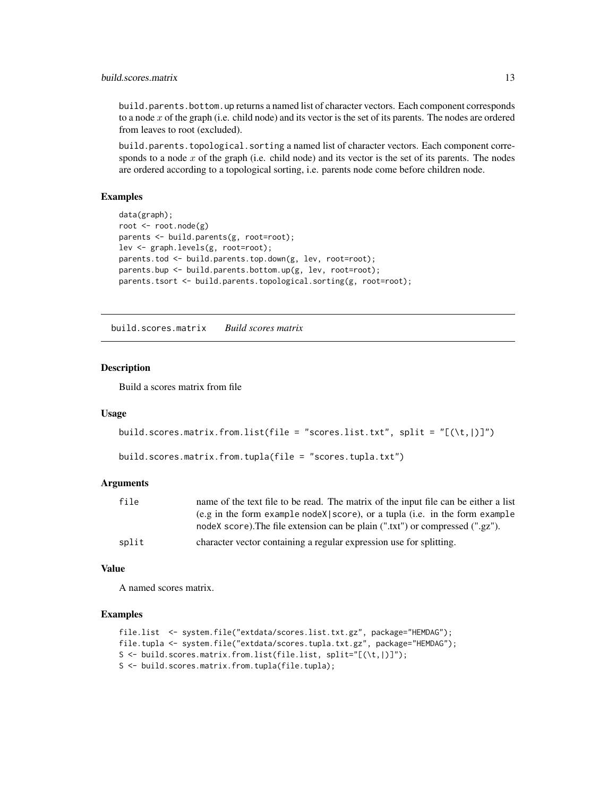### <span id="page-12-0"></span>build.scores.matrix 13

build.parents.bottom.up returns a named list of character vectors. Each component corresponds to a node x of the graph (i.e. child node) and its vector is the set of its parents. The nodes are ordered from leaves to root (excluded).

build.parents.topological.sorting a named list of character vectors. Each component corresponds to a node  $x$  of the graph (i.e. child node) and its vector is the set of its parents. The nodes are ordered according to a topological sorting, i.e. parents node come before children node.

### Examples

```
data(graph);
root <- root.node(g)
parents <- build.parents(g, root=root);
lev <- graph.levels(g, root=root);
parents.tod <- build.parents.top.down(g, lev, root=root);
parents.bup <- build.parents.bottom.up(g, lev, root=root);
parents.tsort <- build.parents.topological.sorting(g, root=root);
```
build.scores.matrix *Build scores matrix*

#### **Description**

Build a scores matrix from file

#### Usage

```
build.scores.matrix.from.list(file = "scores.list.txt", split = "[(\t,|)]")
```

```
build.scores.matrix.from.tupla(file = "scores.tupla.txt")
```
#### Arguments

| file  | name of the text file to be read. The matrix of the input file can be either a list |
|-------|-------------------------------------------------------------------------------------|
|       | $(e.g. in the form example nodeX  score)$ , or a tupla (i.e. in the form example    |
|       | nodeX score). The file extension can be plain (".txt") or compressed (".gz").       |
| split | character vector containing a regular expression use for splitting.                 |

#### Value

A named scores matrix.

```
file.list <- system.file("extdata/scores.list.txt.gz", package="HEMDAG");
file.tupla <- system.file("extdata/scores.tupla.txt.gz", package="HEMDAG");
S <- build.scores.matrix.from.list(file.list, split="[(\t,|)]");
S <- build.scores.matrix.from.tupla(file.tupla);
```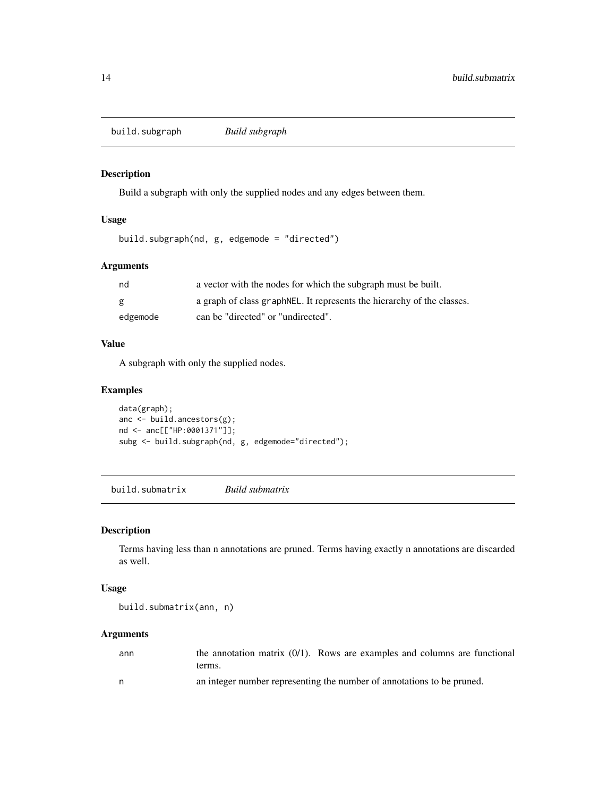<span id="page-13-0"></span>build.subgraph *Build subgraph*

### Description

Build a subgraph with only the supplied nodes and any edges between them.

### Usage

```
build.subgraph(nd, g, edgemode = "directed")
```
### Arguments

| nd       | a vector with the nodes for which the subgraph must be built.           |
|----------|-------------------------------------------------------------------------|
| g        | a graph of class graph NEL. It represents the hierarchy of the classes. |
| edgemode | can be "directed" or "undirected".                                      |

### Value

A subgraph with only the supplied nodes.

### Examples

```
data(graph);
anc <- build.ancestors(g);
nd <- anc[["HP:0001371"]];
subg <- build.subgraph(nd, g, edgemode="directed");
```
build.submatrix *Build submatrix*

### Description

Terms having less than n annotations are pruned. Terms having exactly n annotations are discarded as well.

### Usage

build.submatrix(ann, n)

#### Arguments

| ann | the annotation matrix $(0/1)$ . Rows are examples and columns are functional |
|-----|------------------------------------------------------------------------------|
|     | terms.                                                                       |
| n.  | an integer number representing the number of annotations to be pruned.       |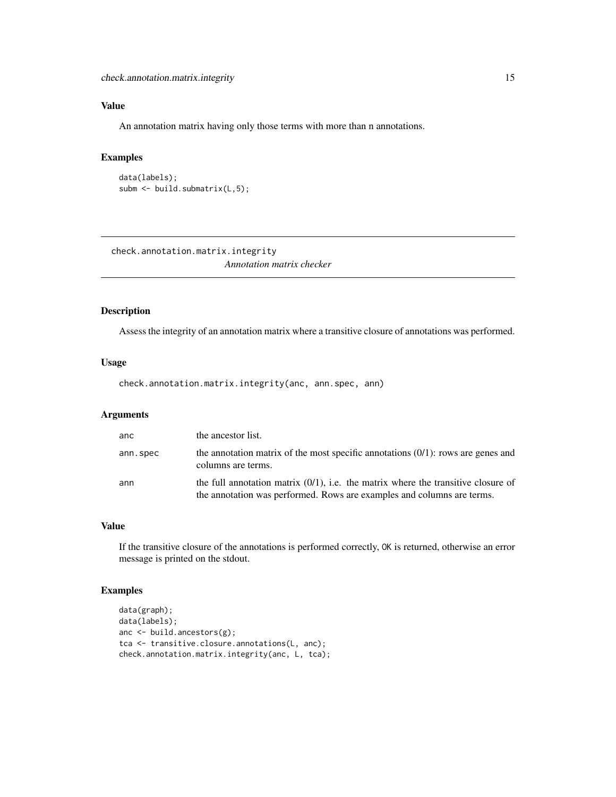### <span id="page-14-0"></span>Value

An annotation matrix having only those terms with more than n annotations.

### Examples

```
data(labels);
subm <- build.submatrix(L,5);
```
check.annotation.matrix.integrity *Annotation matrix checker*

### Description

Assess the integrity of an annotation matrix where a transitive closure of annotations was performed.

#### Usage

check.annotation.matrix.integrity(anc, ann.spec, ann)

### Arguments

| anc      | the ancestor list.                                                                                                                                             |
|----------|----------------------------------------------------------------------------------------------------------------------------------------------------------------|
| ann.spec | the annotation matrix of the most specific annotations $(0/1)$ : rows are genes and<br>columns are terms.                                                      |
| ann      | the full annotation matrix $(0/1)$ , i.e. the matrix where the transitive closure of<br>the annotation was performed. Rows are examples and columns are terms. |

### Value

If the transitive closure of the annotations is performed correctly, OK is returned, otherwise an error message is printed on the stdout.

```
data(graph);
data(labels);
anc <- build.ancestors(g);
tca <- transitive.closure.annotations(L, anc);
check.annotation.matrix.integrity(anc, L, tca);
```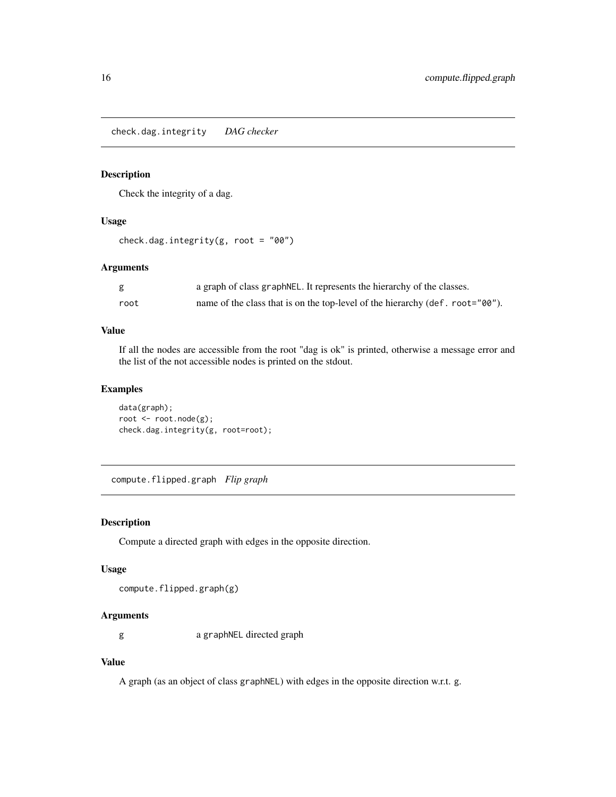<span id="page-15-0"></span>check.dag.integrity *DAG checker*

### Description

Check the integrity of a dag.

### Usage

```
check.dag.integrity(g, root = "00")
```
#### Arguments

|      | a graph of class graph NEL. It represents the hierarchy of the classes.       |
|------|-------------------------------------------------------------------------------|
| root | name of the class that is on the top-level of the hierarchy (def. root="00"). |

### Value

If all the nodes are accessible from the root "dag is ok" is printed, otherwise a message error and the list of the not accessible nodes is printed on the stdout.

### Examples

data(graph); root <- root.node(g); check.dag.integrity(g, root=root);

compute.flipped.graph *Flip graph*

#### Description

Compute a directed graph with edges in the opposite direction.

#### Usage

compute.flipped.graph(g)

### Arguments

g a graphNEL directed graph

### Value

A graph (as an object of class graphNEL) with edges in the opposite direction w.r.t. g.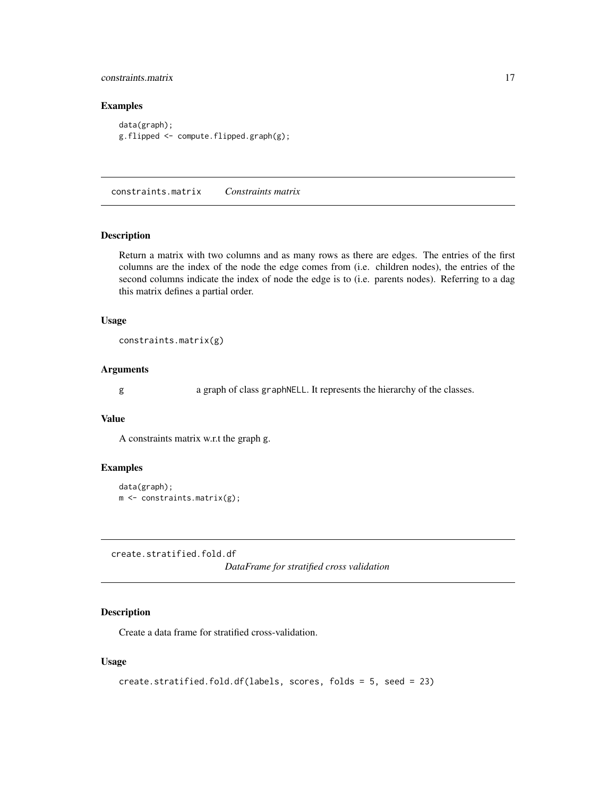### <span id="page-16-0"></span>constraints.matrix 17

### Examples

```
data(graph);
g.flipped <- compute.flipped.graph(g);
```
constraints.matrix *Constraints matrix*

#### Description

Return a matrix with two columns and as many rows as there are edges. The entries of the first columns are the index of the node the edge comes from (i.e. children nodes), the entries of the second columns indicate the index of node the edge is to (i.e. parents nodes). Referring to a dag this matrix defines a partial order.

### Usage

constraints.matrix(g)

### Arguments

g a graph of class graphNELL. It represents the hierarchy of the classes.

#### Value

A constraints matrix w.r.t the graph g.

#### Examples

```
data(graph);
m <- constraints.matrix(g);
```
create.stratified.fold.df *DataFrame for stratified cross validation*

### Description

Create a data frame for stratified cross-validation.

### Usage

```
create.stratified.fold.df(labels, scores, folds = 5, seed = 23)
```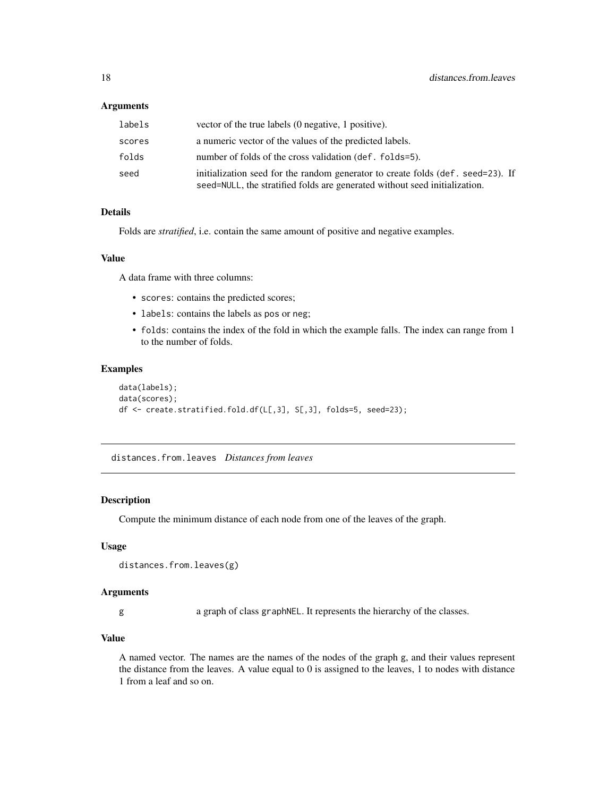### <span id="page-17-0"></span>Arguments

| labels | vector of the true labels (0 negative, 1 positive).                                                                                                           |
|--------|---------------------------------------------------------------------------------------------------------------------------------------------------------------|
| scores | a numeric vector of the values of the predicted labels.                                                                                                       |
| folds  | number of folds of the cross validation (def. folds=5).                                                                                                       |
| seed   | initialization seed for the random generator to create folds (def. seed=23). If<br>seed=NULL, the stratified folds are generated without seed initialization. |

#### Details

Folds are *stratified*, i.e. contain the same amount of positive and negative examples.

#### Value

A data frame with three columns:

- scores: contains the predicted scores;
- labels: contains the labels as pos or neg;
- folds: contains the index of the fold in which the example falls. The index can range from 1 to the number of folds.

#### Examples

```
data(labels);
data(scores);
df <- create.stratified.fold.df(L[,3], S[,3], folds=5, seed=23);
```
distances.from.leaves *Distances from leaves*

### Description

Compute the minimum distance of each node from one of the leaves of the graph.

#### Usage

```
distances.from.leaves(g)
```
### Arguments

g a graph of class graphNEL. It represents the hierarchy of the classes.

### Value

A named vector. The names are the names of the nodes of the graph g, and their values represent the distance from the leaves. A value equal to  $0$  is assigned to the leaves, 1 to nodes with distance 1 from a leaf and so on.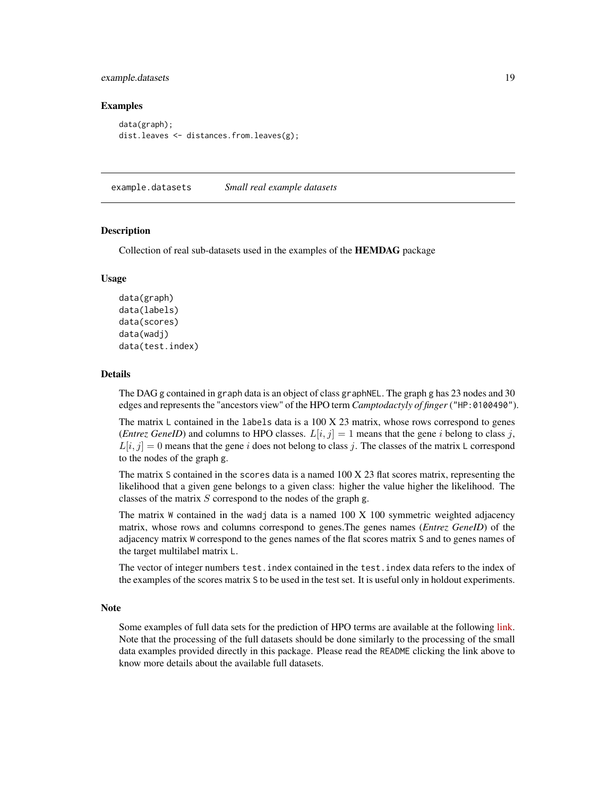### <span id="page-18-0"></span>example.datasets 19

#### Examples

```
data(graph);
dist.leaves <- distances.from.leaves(g);
```
example.datasets *Small real example datasets*

#### **Description**

Collection of real sub-datasets used in the examples of the HEMDAG package

#### Usage

```
data(graph)
data(labels)
data(scores)
data(wadj)
data(test.index)
```
#### Details

The DAG g contained in graph data is an object of class graphNEL. The graph g has 23 nodes and 30 edges and represents the "ancestors view" of the HPO term *Camptodactyly of finger* ("HP:0100490").

The matrix  $\mathsf L$  contained in the labels data is a 100 X 23 matrix, whose rows correspond to genes (*Entrez GeneID*) and columns to HPO classes.  $L[i, j] = 1$  means that the gene i belong to class j,  $L[i, j] = 0$  means that the gene i does not belong to class j. The classes of the matrix L correspond to the nodes of the graph g.

The matrix S contained in the scores data is a named 100 X 23 flat scores matrix, representing the likelihood that a given gene belongs to a given class: higher the value higher the likelihood. The classes of the matrix  $S$  correspond to the nodes of the graph g.

The matrix  $W$  contained in the wadj data is a named  $100 \text{ X } 100$  symmetric weighted adjacency matrix, whose rows and columns correspond to genes.The genes names (*Entrez GeneID*) of the adjacency matrix W correspond to the genes names of the flat scores matrix S and to genes names of the target multilabel matrix L.

The vector of integer numbers test.index contained in the test.index data refers to the index of the examples of the scores matrix S to be used in the test set. It is useful only in holdout experiments.

#### Note

Some examples of full data sets for the prediction of HPO terms are available at the following [link.](https://homes.di.unimi.it/notaro/DATA/DATA_BMC/) Note that the processing of the full datasets should be done similarly to the processing of the small data examples provided directly in this package. Please read the README clicking the link above to know more details about the available full datasets.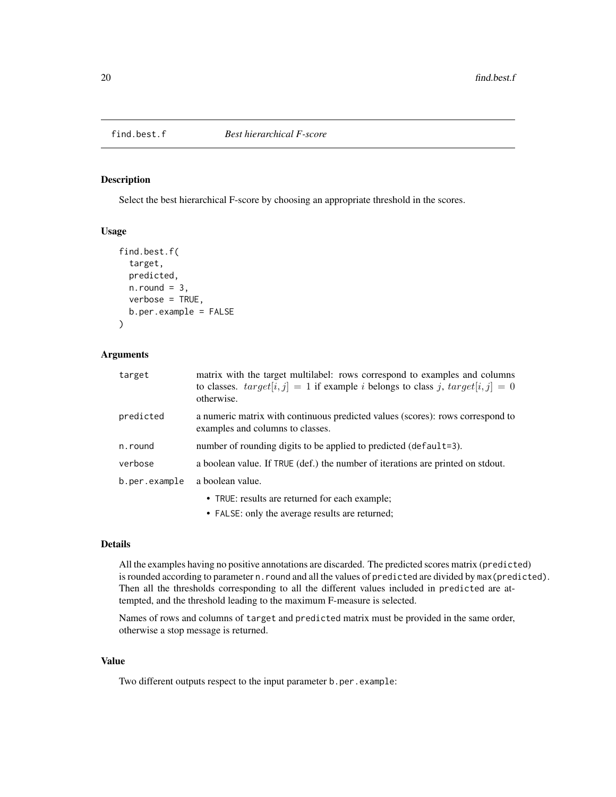<span id="page-19-0"></span>

Select the best hierarchical F-score by choosing an appropriate threshold in the scores.

### Usage

```
find.best.f(
  target,
  predicted,
  n.round = 3,
  verbose = TRUE,
  b.per.example = FALSE
)
```
### Arguments

| target        | matrix with the target multilabel: rows correspond to examples and columns<br>to classes. $target[i, j] = 1$ if example <i>i</i> belongs to class <i>j</i> , $target[i, j] = 0$<br>otherwise. |
|---------------|-----------------------------------------------------------------------------------------------------------------------------------------------------------------------------------------------|
| predicted     | a numeric matrix with continuous predicted values (scores): rows correspond to<br>examples and columns to classes.                                                                            |
| n.round       | number of rounding digits to be applied to predicted (default=3).                                                                                                                             |
| verbose       | a boolean value. If TRUE (def.) the number of iterations are printed on stdout.                                                                                                               |
| b.per.example | a boolean value.                                                                                                                                                                              |
|               | • TRUE: results are returned for each example;                                                                                                                                                |
|               | • FALSE: only the average results are returned;                                                                                                                                               |

#### Details

All the examples having no positive annotations are discarded. The predicted scores matrix (predicted) is rounded according to parameter n. round and all the values of predicted are divided by max(predicted). Then all the thresholds corresponding to all the different values included in predicted are attempted, and the threshold leading to the maximum F-measure is selected.

Names of rows and columns of target and predicted matrix must be provided in the same order, otherwise a stop message is returned.

### Value

Two different outputs respect to the input parameter b.per.example: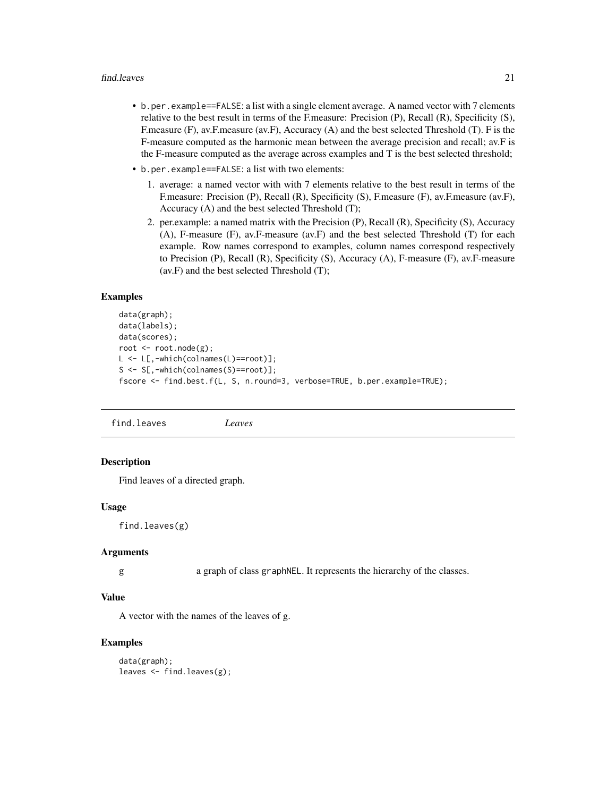#### <span id="page-20-0"></span>find.leaves 21

- b.per.example==FALSE: a list with a single element average. A named vector with 7 elements relative to the best result in terms of the F.measure: Precision (P), Recall (R), Specificity (S), F.measure (F), av.F.measure (av.F), Accuracy (A) and the best selected Threshold (T). F is the F-measure computed as the harmonic mean between the average precision and recall; av.F is the F-measure computed as the average across examples and T is the best selected threshold;
- b.per.example==FALSE: a list with two elements:
	- 1. average: a named vector with with 7 elements relative to the best result in terms of the F.measure: Precision (P), Recall (R), Specificity (S), F.measure (F), av.F.measure (av.F), Accuracy (A) and the best selected Threshold (T);
	- 2. per.example: a named matrix with the Precision (P), Recall (R), Specificity (S), Accuracy (A), F-measure (F), av.F-measure (av.F) and the best selected Threshold (T) for each example. Row names correspond to examples, column names correspond respectively to Precision (P), Recall (R), Specificity (S), Accuracy (A), F-measure (F), av.F-measure (av.F) and the best selected Threshold (T);

#### Examples

```
data(graph);
data(labels);
data(scores);
root <- root.node(g);
L <- L[,-which(colnames(L)==root)];
S <- S[,-which(colnames(S)==root)];
fscore <- find.best.f(L, S, n.round=3, verbose=TRUE, b.per.example=TRUE);
```
find.leaves *Leaves*

### **Description**

Find leaves of a directed graph.

#### Usage

find.leaves(g)

#### Arguments

g a graph of class graphNEL. It represents the hierarchy of the classes.

### Value

A vector with the names of the leaves of g.

```
data(graph);
leaves \leq find. leaves(g);
```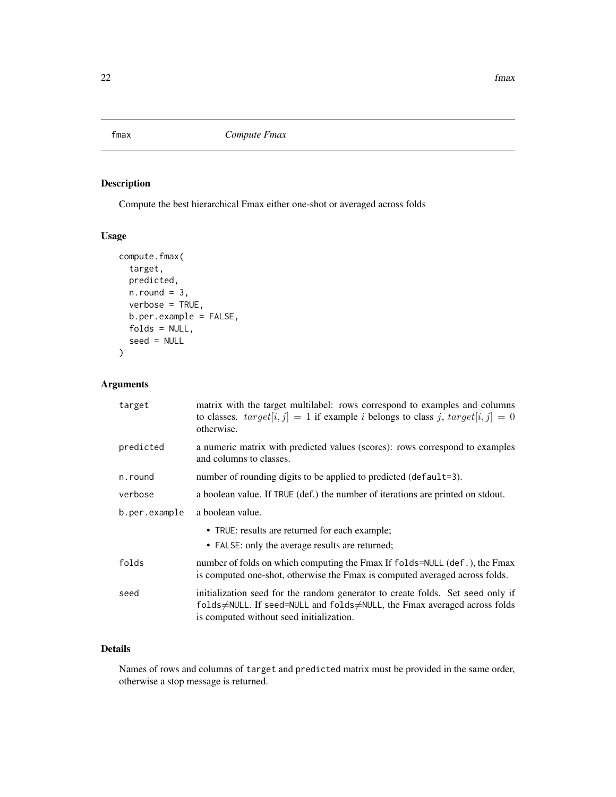<span id="page-21-0"></span>fmax *Compute Fmax*

### Description

Compute the best hierarchical Fmax either one-shot or averaged across folds

### Usage

```
compute.fmax(
  target,
 predicted,
 n.round = 3,
 verbose = TRUE,
 b.per.example = FALSE,
  folds = NULL,seed = NULL
\mathcal{L}
```
### Arguments

| target        | matrix with the target multilabel: rows correspond to examples and columns<br>to classes. $target[i, j] = 1$ if example <i>i</i> belongs to class <i>j</i> , $target[i, j] = 0$<br>otherwise.         |
|---------------|-------------------------------------------------------------------------------------------------------------------------------------------------------------------------------------------------------|
| predicted     | a numeric matrix with predicted values (scores): rows correspond to examples<br>and columns to classes.                                                                                               |
| n.round       | number of rounding digits to be applied to predicted (default=3).                                                                                                                                     |
| verbose       | a boolean value. If TRUE (def.) the number of iterations are printed on stdout.                                                                                                                       |
| b.per.example | a boolean value.                                                                                                                                                                                      |
|               | • TRUE: results are returned for each example;                                                                                                                                                        |
|               | • FALSE: only the average results are returned;                                                                                                                                                       |
| folds         | number of folds on which computing the Fmax If folds=NULL (def.), the Fmax<br>is computed one-shot, otherwise the Fmax is computed averaged across folds.                                             |
| seed          | initialization seed for the random generator to create folds. Set seed only if<br>folds≠NULL. If seed=NULL and folds≠NULL, the Fmax averaged across folds<br>is computed without seed initialization. |

### Details

Names of rows and columns of target and predicted matrix must be provided in the same order, otherwise a stop message is returned.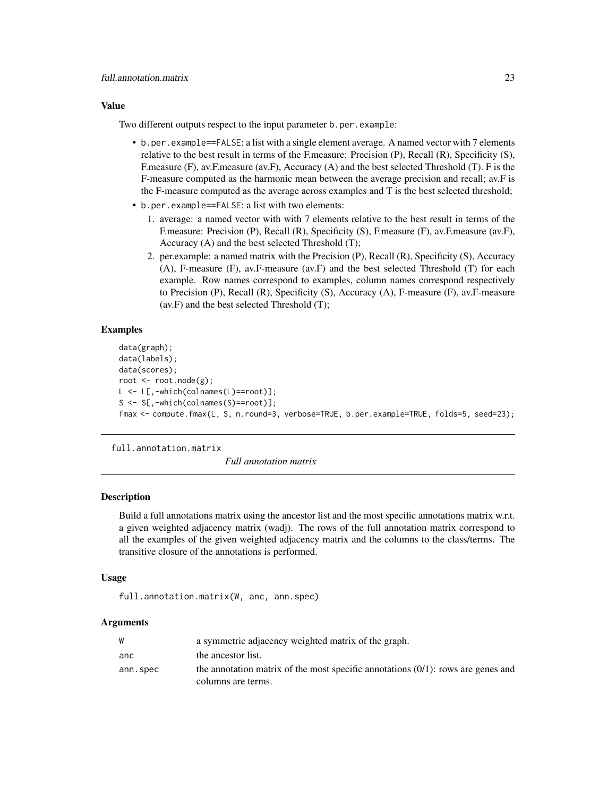#### <span id="page-22-0"></span>Value

Two different outputs respect to the input parameter b.per.example:

- b.per.example==FALSE: a list with a single element average. A named vector with 7 elements relative to the best result in terms of the F.measure: Precision (P), Recall (R), Specificity (S), F.measure (F), av.F.measure (av.F), Accuracy (A) and the best selected Threshold (T). F is the F-measure computed as the harmonic mean between the average precision and recall; av.F is the F-measure computed as the average across examples and T is the best selected threshold;
- b.per.example==FALSE: a list with two elements:
	- 1. average: a named vector with with 7 elements relative to the best result in terms of the F.measure: Precision (P), Recall (R), Specificity (S), F.measure (F), av.F.measure (av.F), Accuracy (A) and the best selected Threshold (T);
	- 2. per.example: a named matrix with the Precision (P), Recall (R), Specificity (S), Accuracy (A), F-measure (F), av.F-measure (av.F) and the best selected Threshold (T) for each example. Row names correspond to examples, column names correspond respectively to Precision (P), Recall (R), Specificity (S), Accuracy (A), F-measure (F), av.F-measure (av.F) and the best selected Threshold (T);

### Examples

```
data(graph);
data(labels);
data(scores);
root <- root.node(g);
L <- L[,-which(colnames(L)==root)];
S <- S[,-which(colnames(S)==root)];
fmax <- compute.fmax(L, S, n.round=3, verbose=TRUE, b.per.example=TRUE, folds=5, seed=23);
```
full.annotation.matrix

*Full annotation matrix*

### Description

Build a full annotations matrix using the ancestor list and the most specific annotations matrix w.r.t. a given weighted adjacency matrix (wadj). The rows of the full annotation matrix correspond to all the examples of the given weighted adjacency matrix and the columns to the class/terms. The transitive closure of the annotations is performed.

#### Usage

full.annotation.matrix(W, anc, ann.spec)

### Arguments

|          | a symmetric adjacency weighted matrix of the graph.                                 |
|----------|-------------------------------------------------------------------------------------|
| anc      | the ancestor list.                                                                  |
| ann.spec | the annotation matrix of the most specific annotations $(0/1)$ : rows are genes and |
|          | columns are terms.                                                                  |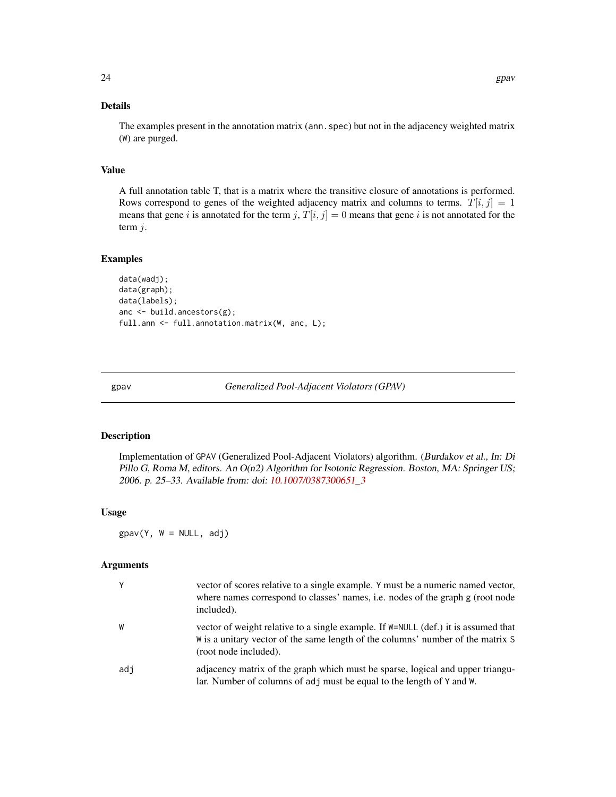### <span id="page-23-0"></span>Details

The examples present in the annotation matrix (ann. spec) but not in the adjacency weighted matrix (W) are purged.

#### Value

A full annotation table T, that is a matrix where the transitive closure of annotations is performed. Rows correspond to genes of the weighted adjacency matrix and columns to terms.  $T[i, j] = 1$ means that gene i is annotated for the term j,  $T[i, j] = 0$  means that gene i is not annotated for the term  $j$ .

#### Examples

```
data(wadj);
data(graph);
data(labels);
anc <- build.ancestors(g);
full.ann <- full.annotation.matrix(W, anc, L);
```
<span id="page-23-1"></span>gpav *Generalized Pool-Adjacent Violators (GPAV)*

### Description

Implementation of GPAV (Generalized Pool-Adjacent Violators) algorithm. (Burdakov et al., In: Di Pillo G, Roma M, editors. An O(n2) Algorithm for Isotonic Regression. Boston, MA: Springer US; 2006. p. 25–33. Available from: doi: [10.1007/0387300651\\_3](https://doi.org/10.1007/0-387-30065-1_3)

### Usage

 $g$ pav(Y, W = NULL, adj)

### Arguments

|     | vector of scores relative to a single example. Y must be a numeric named vector,<br>where names correspond to classes' names, i.e. nodes of the graph g (root node<br>included).                 |
|-----|--------------------------------------------------------------------------------------------------------------------------------------------------------------------------------------------------|
| W   | vector of weight relative to a single example. If $W=NULL$ (def.) it is assumed that<br>W is a unitary vector of the same length of the columns' number of the matrix S<br>(root node included). |
| adj | adjacency matrix of the graph which must be sparse, logical and upper triangu-<br>lar. Number of columns of adj must be equal to the length of Y and W.                                          |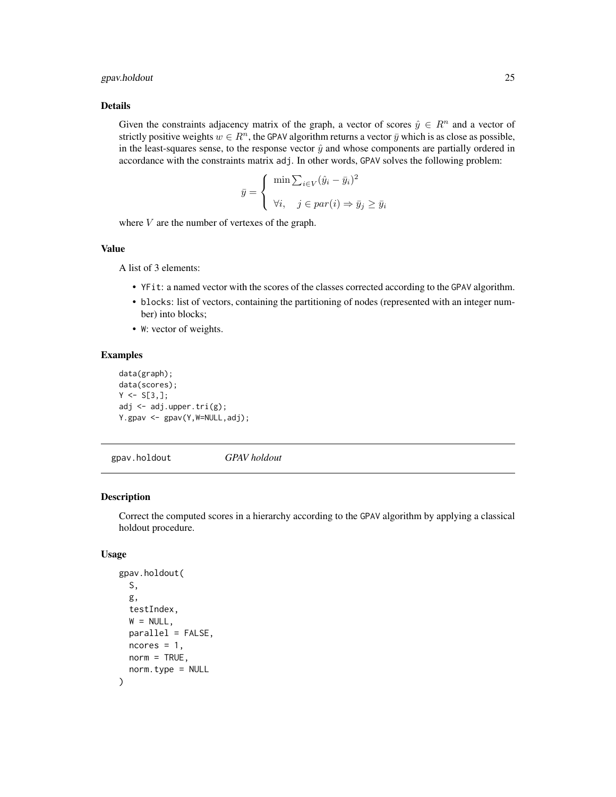### <span id="page-24-0"></span>gpav.holdout 25

#### Details

Given the constraints adjacency matrix of the graph, a vector of scores  $\hat{y} \in \mathbb{R}^n$  and a vector of strictly positive weights  $w \in R^n$ , the GPAV algorithm returns a vector  $\bar{y}$  which is as close as possible, in the least-squares sense, to the response vector  $\hat{y}$  and whose components are partially ordered in accordance with the constraints matrix adj. In other words, GPAV solves the following problem:

$$
\bar{y} = \begin{cases} \min \sum_{i \in V} (\hat{y}_i - \bar{y}_i)^2 \\ \forall i, \quad j \in par(i) \Rightarrow \bar{y}_j \ge \bar{y}_i \end{cases}
$$

where  $V$  are the number of vertexes of the graph.

#### Value

A list of 3 elements:

- YFit: a named vector with the scores of the classes corrected according to the GPAV algorithm.
- blocks: list of vectors, containing the partitioning of nodes (represented with an integer number) into blocks;
- W: vector of weights.

#### Examples

```
data(graph);
data(scores);
Y \leftarrow S[3, ];
adj <- adj.upper.tri(g);
Y.gpav <- gpav(Y,W=NULL,adj);
```
gpav.holdout *GPAV holdout*

### Description

Correct the computed scores in a hierarchy according to the GPAV algorithm by applying a classical holdout procedure.

#### Usage

```
gpav.holdout(
  S,
  g,
  testIndex,
 W = NULL,
 parallel = FALSE,
 ncores = 1,
 norm = TRUE,norm.type = NULL
)
```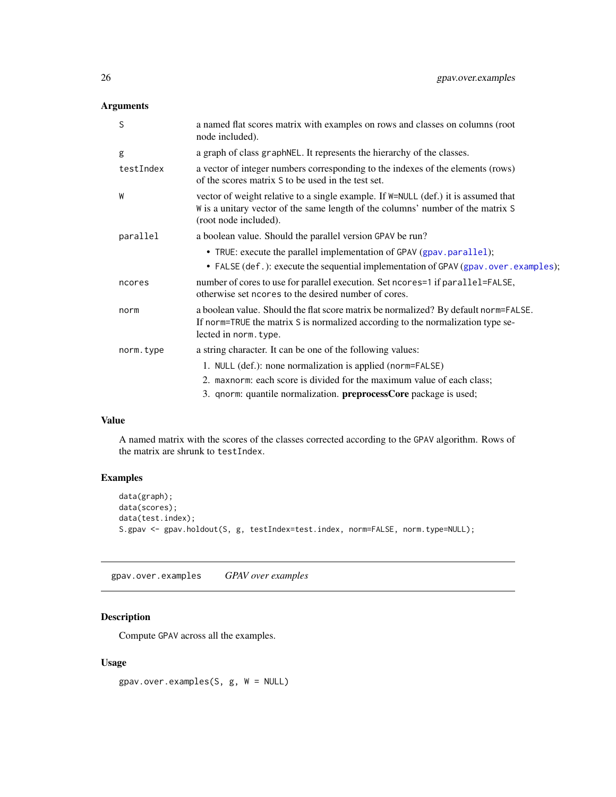### <span id="page-25-0"></span>Arguments

| S         | a named flat scores matrix with examples on rows and classes on columns (root<br>node included).                                                                                                   |
|-----------|----------------------------------------------------------------------------------------------------------------------------------------------------------------------------------------------------|
| g         | a graph of class graphNEL. It represents the hierarchy of the classes.                                                                                                                             |
| testIndex | a vector of integer numbers corresponding to the indexes of the elements (rows)<br>of the scores matrix S to be used in the test set.                                                              |
| W         | vector of weight relative to a single example. If $W = NULL$ (def.) it is assumed that<br>W is a unitary vector of the same length of the columns' number of the matrix S<br>(root node included). |
| parallel  | a boolean value. Should the parallel version GPAV be run?                                                                                                                                          |
|           | • TRUE: execute the parallel implementation of GPAV (gpav.parallel);                                                                                                                               |
|           | • FALSE (def.): execute the sequential implementation of GPAV (gpav.over.examples);                                                                                                                |
| ncores    | number of cores to use for parallel execution. Set ncores=1 if parallel=FALSE,<br>otherwise set neores to the desired number of cores.                                                             |
| norm      | a boolean value. Should the flat score matrix be normalized? By default norm=FALSE.<br>If norm=TRUE the matrix S is normalized according to the normalization type se-<br>lected in norm. type.    |
| norm.type | a string character. It can be one of the following values:                                                                                                                                         |
|           | 1. NULL (def.): none normalization is applied (norm=FALSE)                                                                                                                                         |
|           | 2. maxnorm: each score is divided for the maximum value of each class;                                                                                                                             |
|           | 3. qnorm: quantile normalization. <b>preprocessCore</b> package is used;                                                                                                                           |

### Value

A named matrix with the scores of the classes corrected according to the GPAV algorithm. Rows of the matrix are shrunk to testIndex.

### Examples

```
data(graph);
data(scores);
data(test.index);
S.gpav <- gpav.holdout(S, g, testIndex=test.index, norm=FALSE, norm.type=NULL);
```
<span id="page-25-1"></span>gpav.over.examples *GPAV over examples*

### Description

Compute GPAV across all the examples.

### Usage

gpav.over.examples(S, g, W = NULL)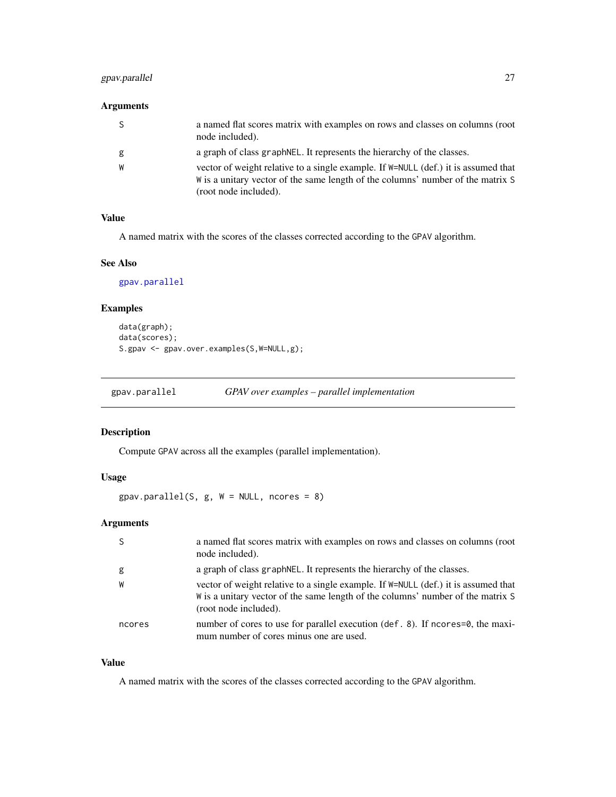### <span id="page-26-0"></span>gpav.parallel 27

### Arguments

| <sub>S</sub> | a named flat scores matrix with examples on rows and classes on columns (root<br>node included).                                                                                                 |
|--------------|--------------------------------------------------------------------------------------------------------------------------------------------------------------------------------------------------|
| g            | a graph of class graph NEL. It represents the hierarchy of the classes.                                                                                                                          |
| W            | vector of weight relative to a single example. If $W=NULL$ (def.) it is assumed that<br>W is a unitary vector of the same length of the columns' number of the matrix S<br>(root node included). |

### Value

A named matrix with the scores of the classes corrected according to the GPAV algorithm.

### See Also

```
gpav.parallel
```
### Examples

```
data(graph);
data(scores);
S.gpav <- gpav.over.examples(S, W=NULL, g);
```
<span id="page-26-1"></span>

### Description

Compute GPAV across all the examples (parallel implementation).

### Usage

 $g$ pav.parallel(S,  $g$ , W = NULL, ncores = 8)

### Arguments

| -S     | a named flat scores matrix with examples on rows and classes on columns (root<br>node included).                                                                                                 |
|--------|--------------------------------------------------------------------------------------------------------------------------------------------------------------------------------------------------|
| g      | a graph of class graph NEL. It represents the hierarchy of the classes.                                                                                                                          |
| W      | vector of weight relative to a single example. If $W=NULL$ (def.) it is assumed that<br>W is a unitary vector of the same length of the columns' number of the matrix S<br>(root node included). |
| ncores | number of cores to use for parallel execution (def. 8). If ncores=0, the maxi-<br>mum number of cores minus one are used.                                                                        |

### Value

A named matrix with the scores of the classes corrected according to the GPAV algorithm.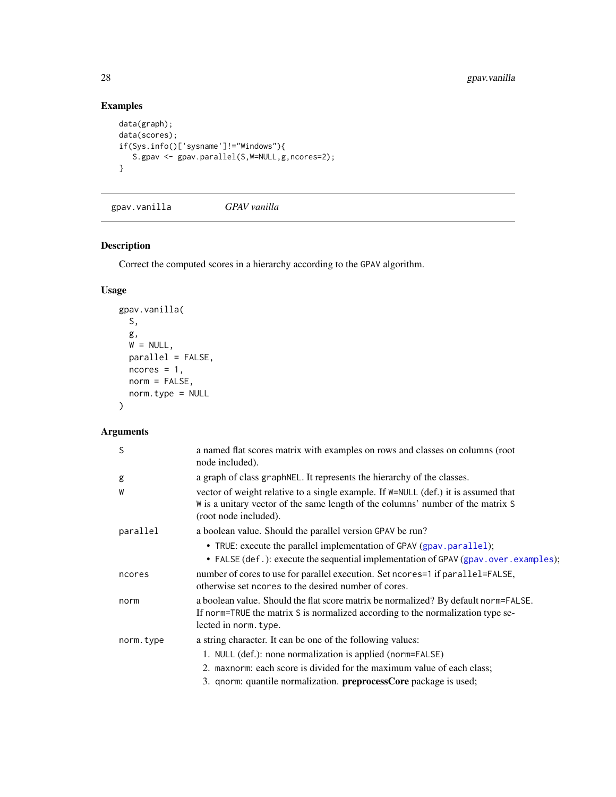## Examples

```
data(graph);
data(scores);
if(Sys.info()['sysname']!="Windows"){
   S.gpav <- gpav.parallel(S,W=NULL,g,ncores=2);
}
```
gpav.vanilla *GPAV vanilla*

### Description

Correct the computed scores in a hierarchy according to the GPAV algorithm.

### Usage

```
gpav.vanilla(
 S,
 g,
 W = NULL,parallel = FALSE,
 ncores = 1,
 norm = FALSE,
 norm.type = NULL
)
```
### Arguments

| S         | a named flat scores matrix with examples on rows and classes on columns (root<br>node included).                                                                                                 |
|-----------|--------------------------------------------------------------------------------------------------------------------------------------------------------------------------------------------------|
| g         | a graph of class graphNEL. It represents the hierarchy of the classes.                                                                                                                           |
| W         | vector of weight relative to a single example. If $W=NULL$ (def.) it is assumed that<br>W is a unitary vector of the same length of the columns' number of the matrix S<br>(root node included). |
| parallel  | a boolean value. Should the parallel version GPAV be run?                                                                                                                                        |
|           | • TRUE: execute the parallel implementation of GPAV (gpav.parallel);<br>• FALSE (def.): execute the sequential implementation of GPAV (gpav.over.examples);                                      |
| ncores    | number of cores to use for parallel execution. Set ncores=1 if parallel=FALSE,<br>otherwise set no cores to the desired number of cores.                                                         |
| norm      | a boolean value. Should the flat score matrix be normalized? By default norm=FALSE.<br>If norm=TRUE the matrix S is normalized according to the normalization type se-<br>lected in norm. type.  |
| norm.type | a string character. It can be one of the following values:                                                                                                                                       |
|           | 1. NULL (def.): none normalization is applied (norm=FALSE)                                                                                                                                       |
|           | 2. maxnorm: each score is divided for the maximum value of each class;                                                                                                                           |
|           | 3. qnorm: quantile normalization. preprocessCore package is used;                                                                                                                                |

<span id="page-27-0"></span>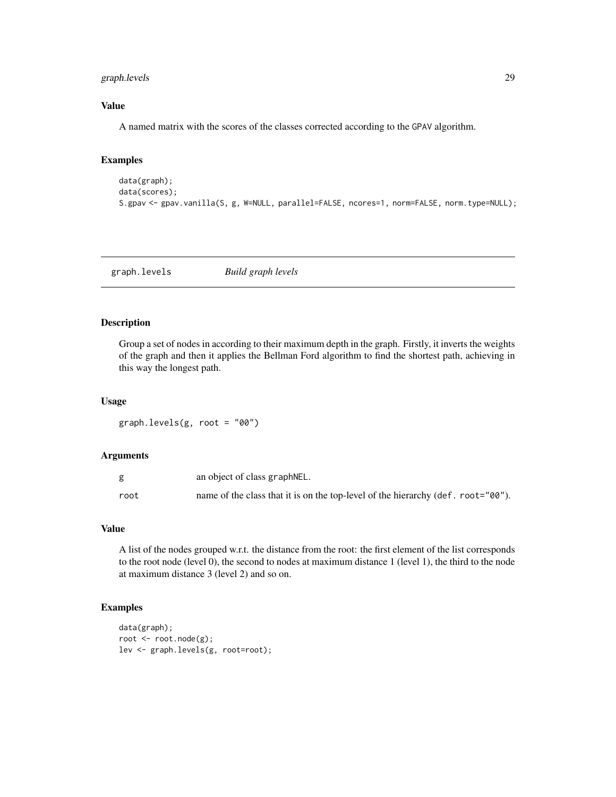### <span id="page-28-0"></span>graph.levels 29

### Value

A named matrix with the scores of the classes corrected according to the GPAV algorithm.

### Examples

```
data(graph);
data(scores);
S.gpav <- gpav.vanilla(S, g, W=NULL, parallel=FALSE, ncores=1, norm=FALSE, norm.type=NULL);
```
<span id="page-28-1"></span>graph.levels *Build graph levels*

### Description

Group a set of nodes in according to their maximum depth in the graph. Firstly, it inverts the weights of the graph and then it applies the Bellman Ford algorithm to find the shortest path, achieving in this way the longest path.

#### Usage

graph.levels(g, root = "00")

### Arguments

|      | an object of class graph NEL.                                                    |
|------|----------------------------------------------------------------------------------|
| root | name of the class that it is on the top-level of the hierarchy (def. root="00"). |

#### Value

A list of the nodes grouped w.r.t. the distance from the root: the first element of the list corresponds to the root node (level 0), the second to nodes at maximum distance 1 (level 1), the third to the node at maximum distance 3 (level 2) and so on.

```
data(graph);
root <- root.node(g);
lev <- graph.levels(g, root=root);
```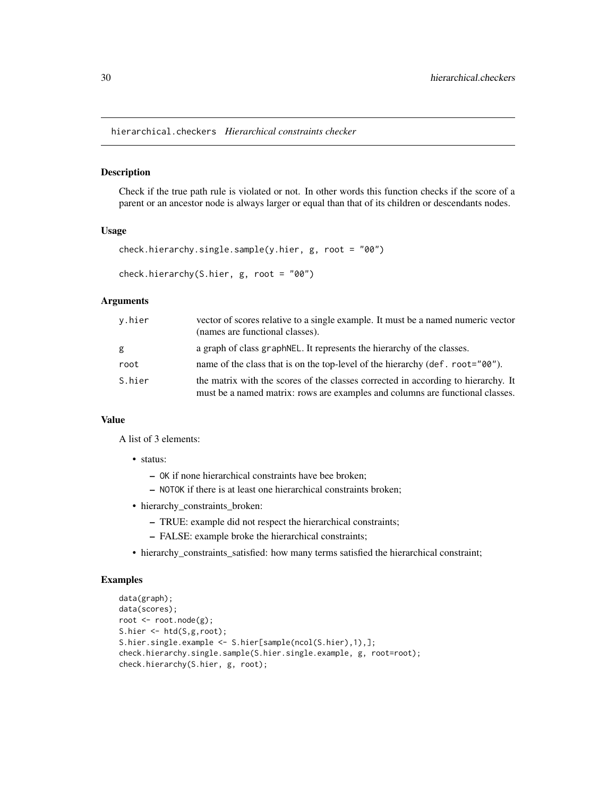<span id="page-29-0"></span>hierarchical.checkers *Hierarchical constraints checker*

#### Description

Check if the true path rule is violated or not. In other words this function checks if the score of a parent or an ancestor node is always larger or equal than that of its children or descendants nodes.

#### Usage

```
check.hierarchy.single.sample(y.hier, g, root = "00")
```

```
check.hierarchy(S.hier, g, root = "00")
```
#### Arguments

| y.hier | vector of scores relative to a single example. It must be a named numeric vector<br>(names are functional classes).                                                |
|--------|--------------------------------------------------------------------------------------------------------------------------------------------------------------------|
| g      | a graph of class graph NEL. It represents the hierarchy of the classes.                                                                                            |
| root   | name of the class that is on the top-level of the hierarchy (def. root="00").                                                                                      |
| S.hier | the matrix with the scores of the classes corrected in according to hierarchy. It<br>must be a named matrix: rows are examples and columns are functional classes. |

### Value

A list of 3 elements:

- status:
	- OK if none hierarchical constraints have bee broken;
	- NOTOK if there is at least one hierarchical constraints broken;
- hierarchy\_constraints\_broken:
	- TRUE: example did not respect the hierarchical constraints;
	- FALSE: example broke the hierarchical constraints;
- hierarchy\_constraints\_satisfied: how many terms satisfied the hierarchical constraint;

```
data(graph);
data(scores);
root <- root.node(g);
S.hier <- htd(S,g,root);
S.hier.single.example <- S.hier[sample(ncol(S.hier),1),];
check.hierarchy.single.sample(S.hier.single.example, g, root=root);
check.hierarchy(S.hier, g, root);
```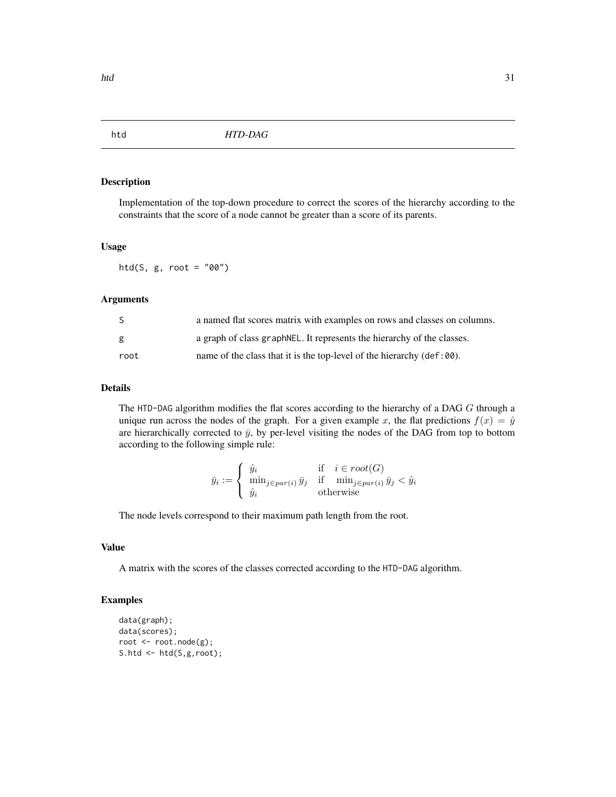<span id="page-30-1"></span><span id="page-30-0"></span>

Implementation of the top-down procedure to correct the scores of the hierarchy according to the constraints that the score of a node cannot be greater than a score of its parents.

#### Usage

htd(S,  $g$ , root = "00")

#### Arguments

| S.   | a named flat scores matrix with examples on rows and classes on columns.       |
|------|--------------------------------------------------------------------------------|
| g    | a graph of class graph NEL. It represents the hierarchy of the classes.        |
| root | name of the class that it is the top-level of the hierarchy $(\text{def:00}).$ |

### Details

The HTD-DAG algorithm modifies the flat scores according to the hierarchy of a DAG G through a unique run across the nodes of the graph. For a given example x, the flat predictions  $f(x) = \hat{y}$ are hierarchically corrected to  $\bar{y}$ , by per-level visiting the nodes of the DAG from top to bottom according to the following simple rule:

$$
\bar{y}_i := \begin{cases} \hat{y}_i & \text{if } i \in root(G) \\ \min_{j \in par(i)} \bar{y}_j & \text{if } \min_{j \in par(i)} \bar{y}_j < \hat{y}_i \\ \hat{y}_i & \text{otherwise} \end{cases}
$$

The node levels correspond to their maximum path length from the root.

### Value

A matrix with the scores of the classes corrected according to the HTD-DAG algorithm.

```
data(graph);
data(scores);
root <- root.node(g);
S.htd <- htd(S,g,root);
```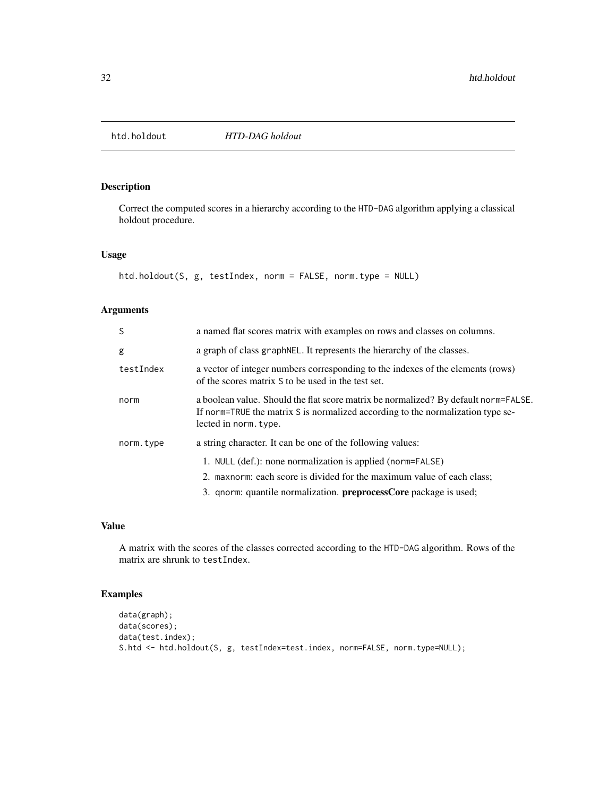<span id="page-31-0"></span>

Correct the computed scores in a hierarchy according to the HTD-DAG algorithm applying a classical holdout procedure.

### Usage

```
htd.holdout(S, g, testIndex, norm = FALSE, norm.type = NULL)
```
### Arguments

| <sub>S</sub> | a named flat scores matrix with examples on rows and classes on columns.                                                                                                                        |
|--------------|-------------------------------------------------------------------------------------------------------------------------------------------------------------------------------------------------|
| g            | a graph of class graph NEL. It represents the hierarchy of the classes.                                                                                                                         |
| testIndex    | a vector of integer numbers corresponding to the indexes of the elements (rows)<br>of the scores matrix S to be used in the test set.                                                           |
| norm         | a boolean value. Should the flat score matrix be normalized? By default norm=FALSE.<br>If norm=TRUE the matrix S is normalized according to the normalization type se-<br>lected in norm. type. |
| norm.type    | a string character. It can be one of the following values:<br>1. NULL (def.): none normalization is applied (norm=FALSE)                                                                        |
|              | 2. maxnorm: each score is divided for the maximum value of each class;                                                                                                                          |
|              | 3. qnorm: quantile normalization. <b>preprocessCore</b> package is used;                                                                                                                        |

### Value

A matrix with the scores of the classes corrected according to the HTD-DAG algorithm. Rows of the matrix are shrunk to testIndex.

```
data(graph);
data(scores);
data(test.index);
S.htd <- htd.holdout(S, g, testIndex=test.index, norm=FALSE, norm.type=NULL);
```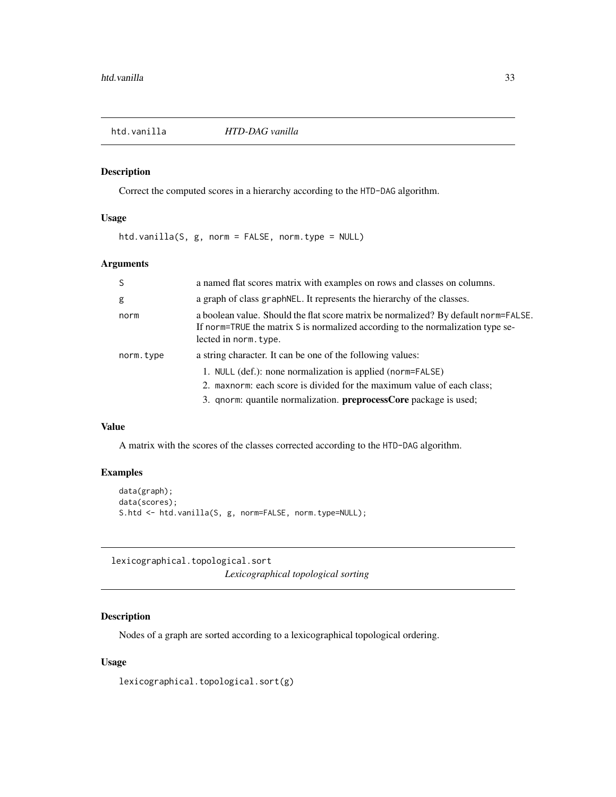<span id="page-32-0"></span>

Correct the computed scores in a hierarchy according to the HTD-DAG algorithm.

### Usage

htd.vanilla(S, g, norm = FALSE, norm.type = NULL)

### Arguments

| <sup>S</sup> | a named flat scores matrix with examples on rows and classes on columns.                                                                                                                        |
|--------------|-------------------------------------------------------------------------------------------------------------------------------------------------------------------------------------------------|
| g            | a graph of class graph NEL. It represents the hierarchy of the classes.                                                                                                                         |
| norm         | a boolean value. Should the flat score matrix be normalized? By default norm=FALSE.<br>If norm=TRUE the matrix S is normalized according to the normalization type se-<br>lected in norm. type. |
| norm.type    | a string character. It can be one of the following values:                                                                                                                                      |
|              | 1. NULL (def.): none normalization is applied (norm=FALSE)                                                                                                                                      |
|              | 2. maxnorm: each score is divided for the maximum value of each class;                                                                                                                          |
|              | 3. qnorm: quantile normalization. preprocessCore package is used;                                                                                                                               |

### Value

A matrix with the scores of the classes corrected according to the HTD-DAG algorithm.

### Examples

```
data(graph);
data(scores);
S.htd <- htd.vanilla(S, g, norm=FALSE, norm.type=NULL);
```
lexicographical.topological.sort

*Lexicographical topological sorting*

### Description

Nodes of a graph are sorted according to a lexicographical topological ordering.

### Usage

lexicographical.topological.sort(g)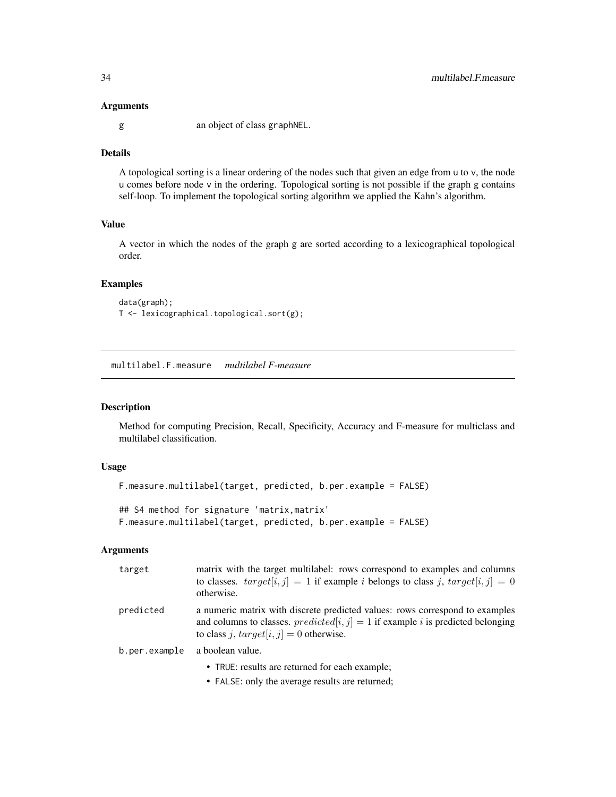#### <span id="page-33-0"></span>Arguments

g an object of class graphNEL.

### Details

A topological sorting is a linear ordering of the nodes such that given an edge from u to v, the node u comes before node v in the ordering. Topological sorting is not possible if the graph g contains self-loop. To implement the topological sorting algorithm we applied the Kahn's algorithm.

### Value

A vector in which the nodes of the graph g are sorted according to a lexicographical topological order.

#### Examples

```
data(graph);
T <- lexicographical.topological.sort(g);
```
<span id="page-33-1"></span>multilabel.F.measure *multilabel F-measure*

#### Description

Method for computing Precision, Recall, Specificity, Accuracy and F-measure for multiclass and multilabel classification.

### Usage

```
F.measure.multilabel(target, predicted, b.per.example = FALSE)
## S4 method for signature 'matrix,matrix'
```

```
F.measure.multilabel(target, predicted, b.per.example = FALSE)
```
#### Arguments

| target        | matrix with the target multilabel: rows correspond to examples and columns<br>to classes. $target[i, j] = 1$ if example <i>i</i> belongs to class <i>j</i> , $target[i, j] = 0$<br>otherwise.                                      |
|---------------|------------------------------------------------------------------------------------------------------------------------------------------------------------------------------------------------------------------------------------|
| predicted     | a numeric matrix with discrete predicted values: rows correspond to examples<br>and columns to classes. <i>predicted</i> [ $i$ , $j$ ] = 1 if example <i>i</i> is predicted belonging<br>to class j, $target[i, j] = 0$ otherwise. |
| b.per.example | a boolean value.                                                                                                                                                                                                                   |
|               | • TRUE: results are returned for each example;                                                                                                                                                                                     |

• FALSE: only the average results are returned;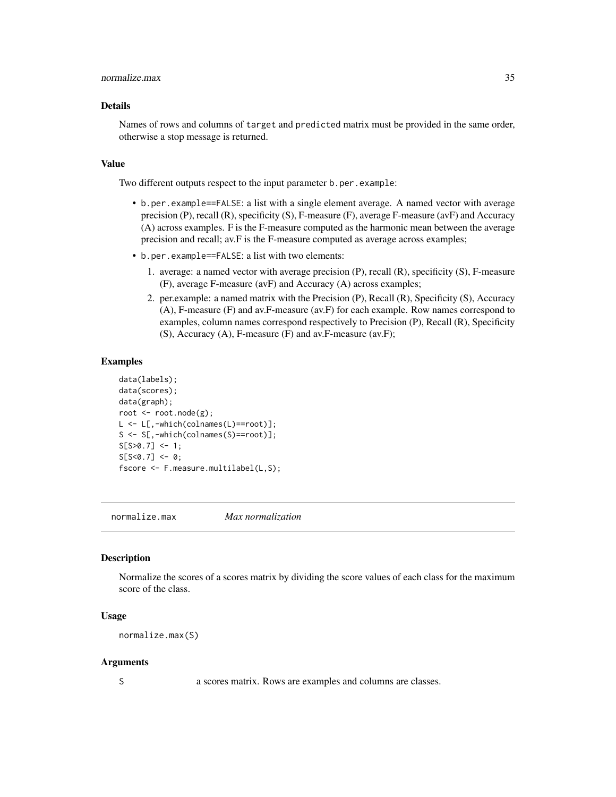#### <span id="page-34-0"></span>normalize.max 35

### Details

Names of rows and columns of target and predicted matrix must be provided in the same order, otherwise a stop message is returned.

#### Value

Two different outputs respect to the input parameter b.per.example:

- b.per.example==FALSE: a list with a single element average. A named vector with average precision (P), recall (R), specificity (S), F-measure (F), average F-measure (avF) and Accuracy (A) across examples. F is the F-measure computed as the harmonic mean between the average precision and recall; av.F is the F-measure computed as average across examples;
- b.per.example==FALSE: a list with two elements:
	- 1. average: a named vector with average precision (P), recall (R), specificity (S), F-measure (F), average F-measure (avF) and Accuracy (A) across examples;
	- 2. per.example: a named matrix with the Precision (P), Recall (R), Specificity (S), Accuracy (A), F-measure (F) and av.F-measure (av.F) for each example. Row names correspond to examples, column names correspond respectively to Precision (P), Recall (R), Specificity (S), Accuracy (A), F-measure (F) and av.F-measure (av.F);

#### Examples

```
data(labels);
data(scores);
data(graph);
root <- root.node(g);
L <- L[,-which(colnames(L)==root)];
S <- S[,-which(colnames(S)==root)];
S[ S>0.7 ] \leftarrow 1;S[ S < 0.7 ] < - 0;fscore <- F.measure.multilabel(L,S);
```
normalize.max *Max normalization*

### Description

Normalize the scores of a scores matrix by dividing the score values of each class for the maximum score of the class.

#### Usage

normalize.max(S)

#### Arguments

S a scores matrix. Rows are examples and columns are classes.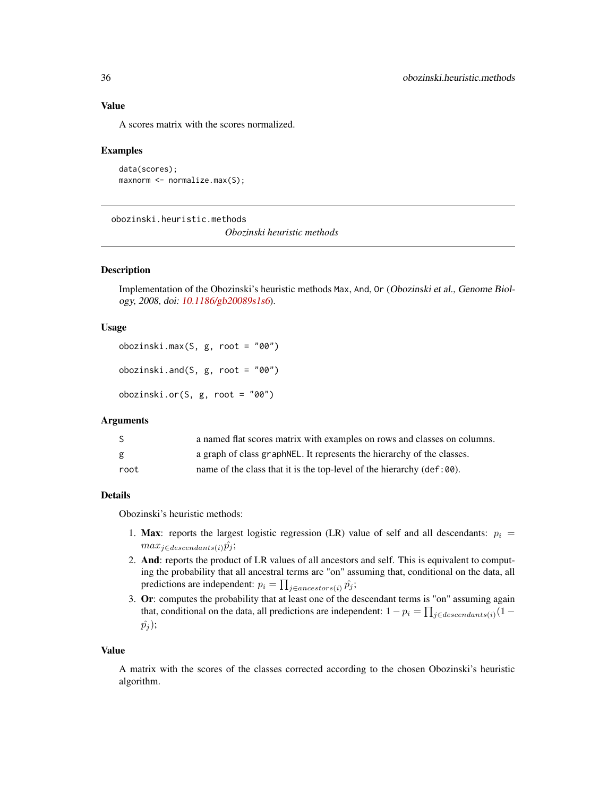#### Value

A scores matrix with the scores normalized.

#### Examples

```
data(scores);
maxnorm <- normalize.max(S);
```
<span id="page-35-1"></span>obozinski.heuristic.methods

*Obozinski heuristic methods*

### Description

Implementation of the Obozinski's heuristic methods Max, And, Or (Obozinski et al., Genome Biology, 2008, doi: [10.1186/gb20089s1s6](https://doi.org/10.1186/gb-2008-9-s1-s6)).

### Usage

obozinski.max(S, g, root = "00") obozinski.and(S, g, root = "00") obozinski.or(S, g, root = "00")

### Arguments

| S.   | a named flat scores matrix with examples on rows and classes on columns.       |
|------|--------------------------------------------------------------------------------|
| g    | a graph of class graph NEL. It represents the hierarchy of the classes.        |
| root | name of the class that it is the top-level of the hierarchy $(\text{def:00}).$ |

### Details

Obozinski's heuristic methods:

- 1. Max: reports the largest logistic regression (LR) value of self and all descendants:  $p_i =$  $max_{j \in descendants(i)} \hat{p}_j;$
- 2. And: reports the product of LR values of all ancestors and self. This is equivalent to computing the probability that all ancestral terms are "on" assuming that, conditional on the data, all predictions are independent:  $p_i = \prod_{j \in ancestors(i)} \hat{p}_j;$
- 3. Or: computes the probability that at least one of the descendant terms is "on" assuming again that, conditional on the data, all predictions are independent:  $1 - p_i = \prod_{j \in descendants(i)} (1 - p_j)$  $\hat{p_j}$ ;

#### Value

A matrix with the scores of the classes corrected according to the chosen Obozinski's heuristic algorithm.

<span id="page-35-0"></span>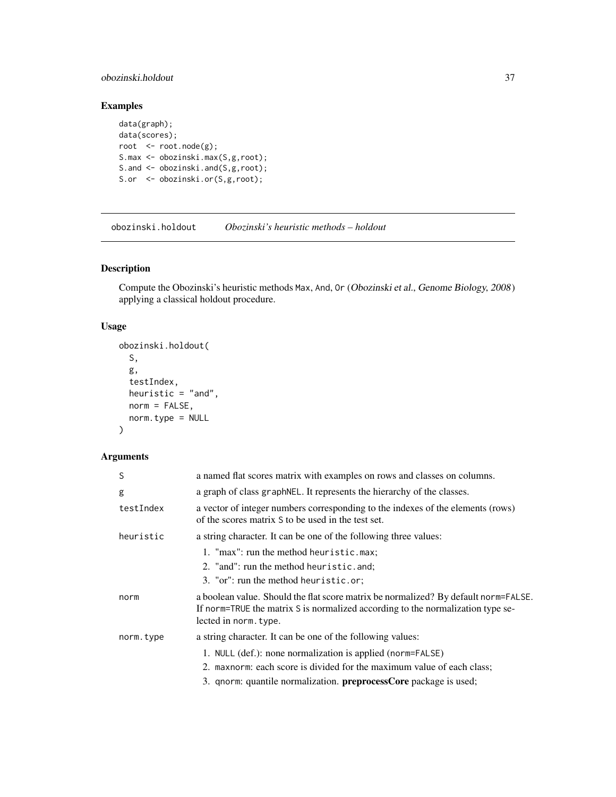### <span id="page-36-0"></span>obozinski.holdout 37

### Examples

```
data(graph);
data(scores);
root <- root.node(g);
S.max <- obozinski.max(S,g,root);
S.and <- obozinski.and(S,g,root);
S.or <- obozinski.or(S,g,root);
```
obozinski.holdout *Obozinski's heuristic methods – holdout*

### Description

Compute the Obozinski's heuristic methods Max, And, Or (Obozinski et al., Genome Biology, 2008) applying a classical holdout procedure.

### Usage

```
obozinski.holdout(
  S,
  g,
  testIndex,
 heuristic = "and",
 norm = FALSE,norm.type = NULL
)
```
### Arguments

| S         | a named flat scores matrix with examples on rows and classes on columns.                                                                                                                        |
|-----------|-------------------------------------------------------------------------------------------------------------------------------------------------------------------------------------------------|
| g         | a graph of class graphNEL. It represents the hierarchy of the classes.                                                                                                                          |
| testIndex | a vector of integer numbers corresponding to the indexes of the elements (rows)<br>of the scores matrix S to be used in the test set.                                                           |
| heuristic | a string character. It can be one of the following three values:                                                                                                                                |
|           | 1. "max": run the method heuristic.max;                                                                                                                                                         |
|           | 2. "and": run the method heuristic.and;                                                                                                                                                         |
|           | 3. "or": run the method heuristic.or;                                                                                                                                                           |
| norm      | a boolean value. Should the flat score matrix be normalized? By default norm=FALSE.<br>If norm=TRUE the matrix S is normalized according to the normalization type se-<br>lected in norm. type. |
| norm.type | a string character. It can be one of the following values:                                                                                                                                      |
|           | 1. NULL (def.): none normalization is applied (norm=FALSE)                                                                                                                                      |
|           | 2. maxnorm: each score is divided for the maximum value of each class;                                                                                                                          |
|           | 3. qnorm: quantile normalization. <b>preprocessCore</b> package is used;                                                                                                                        |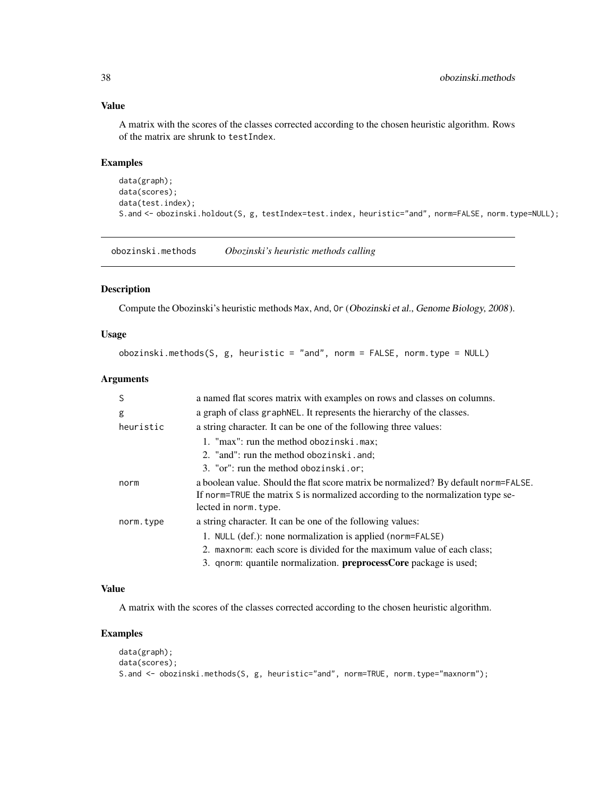### Value

A matrix with the scores of the classes corrected according to the chosen heuristic algorithm. Rows of the matrix are shrunk to testIndex.

### Examples

```
data(graph);
data(scores);
data(test.index);
S.and <- obozinski.holdout(S, g, testIndex=test.index, heuristic="and", norm=FALSE, norm.type=NULL);
```
obozinski.methods *Obozinski's heuristic methods calling*

#### Description

Compute the Obozinski's heuristic methods Max, And, Or (Obozinski et al., Genome Biology, 2008).

#### Usage

obozinski.methods(S, g, heuristic = "and", norm = FALSE, norm.type = NULL)

#### Arguments

| S         | a named flat scores matrix with examples on rows and classes on columns.                                                                                                                        |
|-----------|-------------------------------------------------------------------------------------------------------------------------------------------------------------------------------------------------|
| g         | a graph of class graph NEL. It represents the hierarchy of the classes.                                                                                                                         |
| heuristic | a string character. It can be one of the following three values:                                                                                                                                |
|           | 1. "max": run the method obozinski.max;                                                                                                                                                         |
|           | 2. "and": run the method obozinski.and;                                                                                                                                                         |
|           | 3. "or": run the method obozinski.or;                                                                                                                                                           |
| norm      | a boolean value. Should the flat score matrix be normalized? By default norm=FALSE.<br>If norm=TRUE the matrix S is normalized according to the normalization type se-<br>lected in norm. type. |
| norm.type | a string character. It can be one of the following values:                                                                                                                                      |
|           | 1. NULL (def.): none normalization is applied (norm=FALSE)                                                                                                                                      |
|           | 2. maxnorm: each score is divided for the maximum value of each class;                                                                                                                          |
|           | 3. qnorm: quantile normalization. <b>preprocessCore</b> package is used;                                                                                                                        |

### Value

A matrix with the scores of the classes corrected according to the chosen heuristic algorithm.

```
data(graph);
data(scores);
S.and <- obozinski.methods(S, g, heuristic="and", norm=TRUE, norm.type="maxnorm");
```
<span id="page-37-0"></span>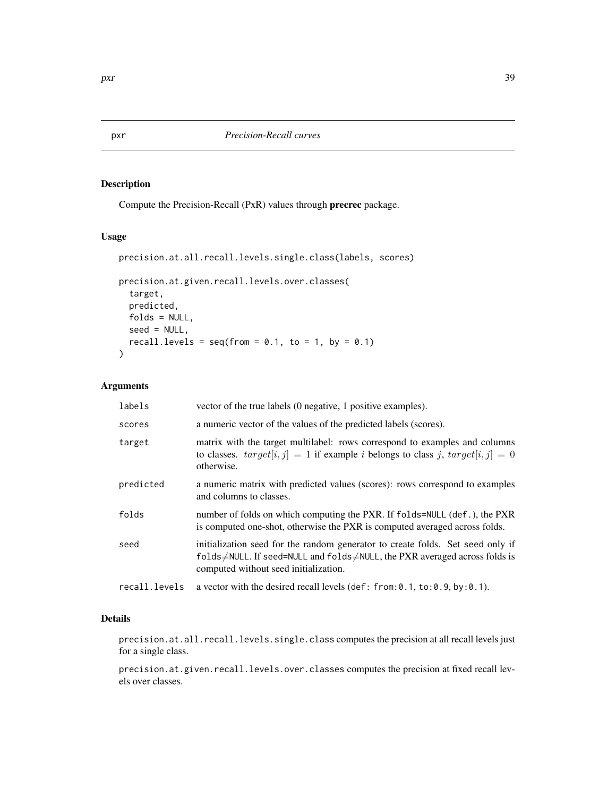Compute the Precision-Recall (PxR) values through precrec package.

### Usage

```
precision.at.all.recall.levels.single.class(labels, scores)
precision.at.given.recall.levels.over.classes(
  target,
 predicted,
 folds = NULL,
  seed = NULL,
  recall.levels = seq(from = 0.1, to = 1, by = 0.1)\mathcal{L}
```
### Arguments

| labels        | vector of the true labels (0 negative, 1 positive examples).                                                                                                                                         |
|---------------|------------------------------------------------------------------------------------------------------------------------------------------------------------------------------------------------------|
| scores        | a numeric vector of the values of the predicted labels (scores).                                                                                                                                     |
| target        | matrix with the target multilabel: rows correspond to examples and columns<br>to classes. $target[i, j] = 1$ if example <i>i</i> belongs to class <i>j</i> , $target[i, j] = 0$<br>otherwise.        |
| predicted     | a numeric matrix with predicted values (scores): rows correspond to examples<br>and columns to classes.                                                                                              |
| folds         | number of folds on which computing the PXR. If folds=NULL (def.), the PXR<br>is computed one-shot, otherwise the PXR is computed averaged across folds.                                              |
| seed          | initialization seed for the random generator to create folds. Set seed only if<br>folds≠NULL. If seed=NULL and folds≠NULL, the PXR averaged across folds is<br>computed without seed initialization. |
| recall.levels | a vector with the desired recall levels (def: from: 0.1, to: 0.9, by: 0.1).                                                                                                                          |

### Details

precision.at.all.recall.levels.single.class computes the precision at all recall levels just for a single class.

precision.at.given.recall.levels.over.classes computes the precision at fixed recall levels over classes.

<span id="page-38-0"></span>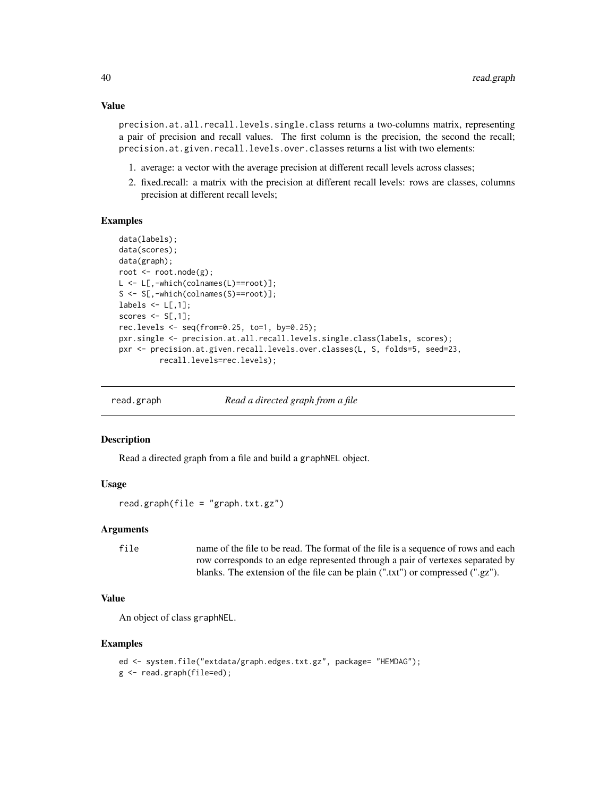### Value

precision.at.all.recall.levels.single.class returns a two-columns matrix, representing a pair of precision and recall values. The first column is the precision, the second the recall; precision.at.given.recall.levels.over.classes returns a list with two elements:

- 1. average: a vector with the average precision at different recall levels across classes;
- 2. fixed.recall: a matrix with the precision at different recall levels: rows are classes, columns precision at different recall levels;

### Examples

```
data(labels);
data(scores);
data(graph);
root <- root.node(g);
L <- L[,-which(colnames(L)==root)];
S <- S[,-which(colnames(S)==root)];
labels \leq L[,1];
scores \leq S[, 1];
rec.levels \leq seq(from=0.25, to=1, by=0.25);
pxr.single <- precision.at.all.recall.levels.single.class(labels, scores);
pxr <- precision.at.given.recall.levels.over.classes(L, S, folds=5, seed=23,
         recall.levels=rec.levels);
```
read.graph *Read a directed graph from a file*

#### Description

Read a directed graph from a file and build a graphNEL object.

#### Usage

read.graph(file = "graph.txt.gz")

### Arguments

file name of the file to be read. The format of the file is a sequence of rows and each row corresponds to an edge represented through a pair of vertexes separated by blanks. The extension of the file can be plain (".txt") or compressed (".gz").

### Value

An object of class graphNEL.

```
ed <- system.file("extdata/graph.edges.txt.gz", package= "HEMDAG");
g <- read.graph(file=ed);
```
<span id="page-39-0"></span>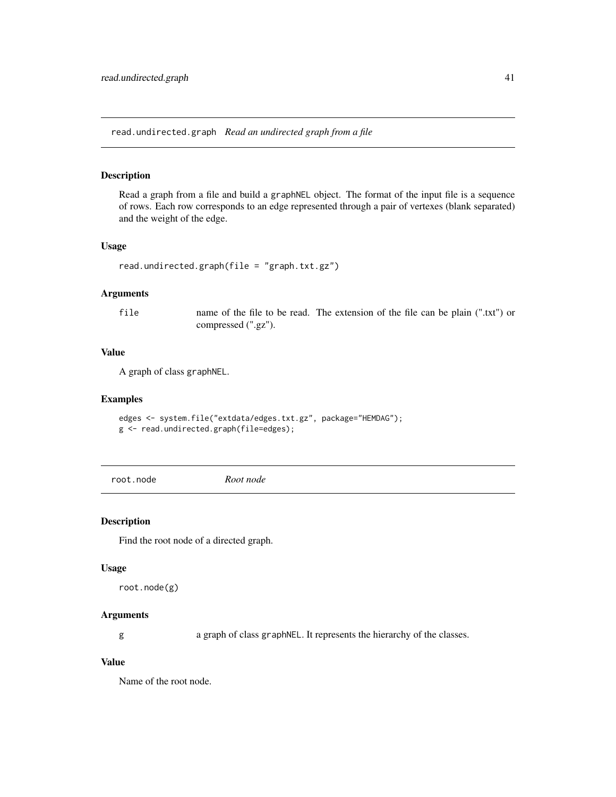<span id="page-40-0"></span>read.undirected.graph *Read an undirected graph from a file*

#### Description

Read a graph from a file and build a graphNEL object. The format of the input file is a sequence of rows. Each row corresponds to an edge represented through a pair of vertexes (blank separated) and the weight of the edge.

#### Usage

```
read.undirected.graph(file = "graph.txt.gz")
```
### Arguments

file name of the file to be read. The extension of the file can be plain (".txt") or compressed (".gz").

### Value

A graph of class graphNEL.

#### Examples

```
edges <- system.file("extdata/edges.txt.gz", package="HEMDAG");
g <- read.undirected.graph(file=edges);
```
root.node *Root node*

#### Description

Find the root node of a directed graph.

#### Usage

root.node(g)

### Arguments

g a graph of class graphNEL. It represents the hierarchy of the classes.

### Value

Name of the root node.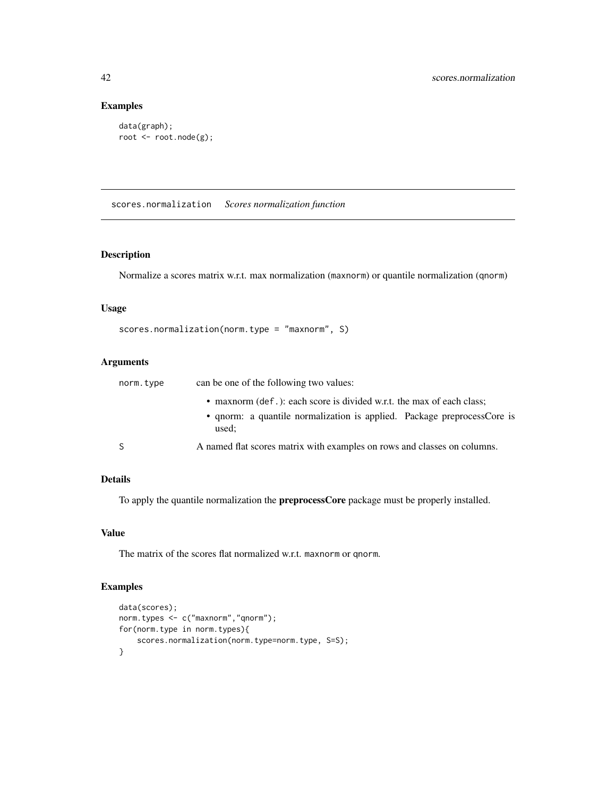### Examples

```
data(graph);
root <- root.node(g);
```
<span id="page-41-1"></span>scores.normalization *Scores normalization function*

### Description

Normalize a scores matrix w.r.t. max normalization (maxnorm) or quantile normalization (qnorm)

#### Usage

```
scores.normalization(norm.type = "maxnorm", S)
```
### Arguments

| norm.type | can be one of the following two values:                                          |
|-----------|----------------------------------------------------------------------------------|
|           | • maxnorm (def.): each score is divided w.r.t. the max of each class;            |
|           | • qnorm: a quantile normalization is applied. Package preprocessCore is<br>used: |
| -S        | A named flat scores matrix with examples on rows and classes on columns.         |

### Details

To apply the quantile normalization the preprocessCore package must be properly installed.

#### Value

The matrix of the scores flat normalized w.r.t. maxnorm or qnorm.

```
data(scores);
norm.types <- c("maxnorm","qnorm");
for(norm.type in norm.types){
    scores.normalization(norm.type=norm.type, S=S);
}
```
<span id="page-41-0"></span>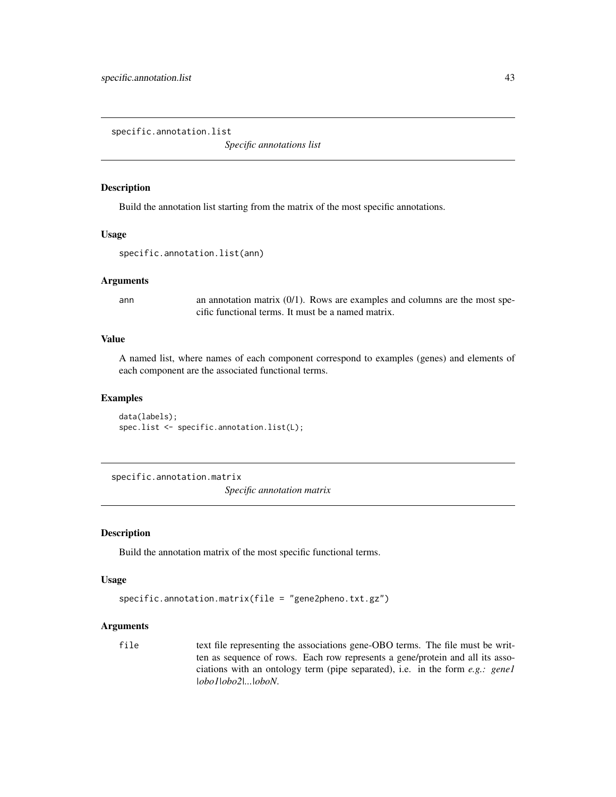<span id="page-42-0"></span>specific.annotation.list

*Specific annotations list*

### Description

Build the annotation list starting from the matrix of the most specific annotations.

#### Usage

```
specific.annotation.list(ann)
```
#### Arguments

ann annotation matrix  $(0/1)$ . Rows are examples and columns are the most specific functional terms. It must be a named matrix.

### Value

A named list, where names of each component correspond to examples (genes) and elements of each component are the associated functional terms.

### Examples

```
data(labels);
spec.list <- specific.annotation.list(L);
```
specific.annotation.matrix

*Specific annotation matrix*

#### Description

Build the annotation matrix of the most specific functional terms.

#### Usage

```
specific.annotation.matrix(file = "gene2pheno.txt.gz")
```
#### Arguments

file text file representing the associations gene-OBO terms. The file must be written as sequence of rows. Each row represents a gene/protein and all its associations with an ontology term (pipe separated), i.e. in the form *e.g.: gene1 |obo1|obo2|...|oboN*.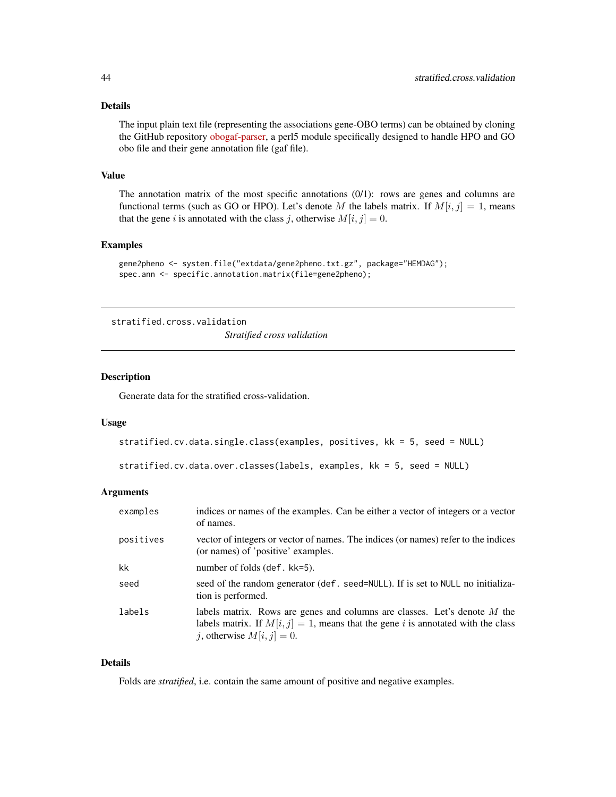### <span id="page-43-0"></span>Details

The input plain text file (representing the associations gene-OBO terms) can be obtained by cloning the GitHub repository [obogaf-parser,](https://github.com/marconotaro/obogaf-parser) a perl5 module specifically designed to handle HPO and GO obo file and their gene annotation file (gaf file).

#### Value

The annotation matrix of the most specific annotations  $(0/1)$ : rows are genes and columns are functional terms (such as GO or HPO). Let's denote M the labels matrix. If  $M[i, j] = 1$ , means that the gene i is annotated with the class j, otherwise  $M[i, j] = 0$ .

### Examples

```
gene2pheno <- system.file("extdata/gene2pheno.txt.gz", package="HEMDAG");
spec.ann <- specific.annotation.matrix(file=gene2pheno);
```
stratified.cross.validation

*Stratified cross validation*

### Description

Generate data for the stratified cross-validation.

#### Usage

```
stratified.cv.data.single.class(examples, positives, kk = 5, seed = NULL)
```

```
stratified.cv.data.over.classes(labels, examples, kk = 5, seed = NULL)
```
### Arguments

| examples  | indices or names of the examples. Can be either a vector of integers or a vector<br>of names.                                                                                                    |
|-----------|--------------------------------------------------------------------------------------------------------------------------------------------------------------------------------------------------|
| positives | vector of integers or vector of names. The indices (or names) refer to the indices<br>(or names) of 'positive' examples.                                                                         |
| kk        | number of folds $(\text{def. kk=5}).$                                                                                                                                                            |
| seed      | seed of the random generator (def. seed=NULL). If is set to NULL no initializa-<br>tion is performed.                                                                                            |
| labels    | labels matrix. Rows are genes and columns are classes. Let's denote M the<br>labels matrix. If $M[i, j] = 1$ , means that the gene i is annotated with the class<br>j, otherwise $M[i, j] = 0$ . |

### Details

Folds are *stratified*, i.e. contain the same amount of positive and negative examples.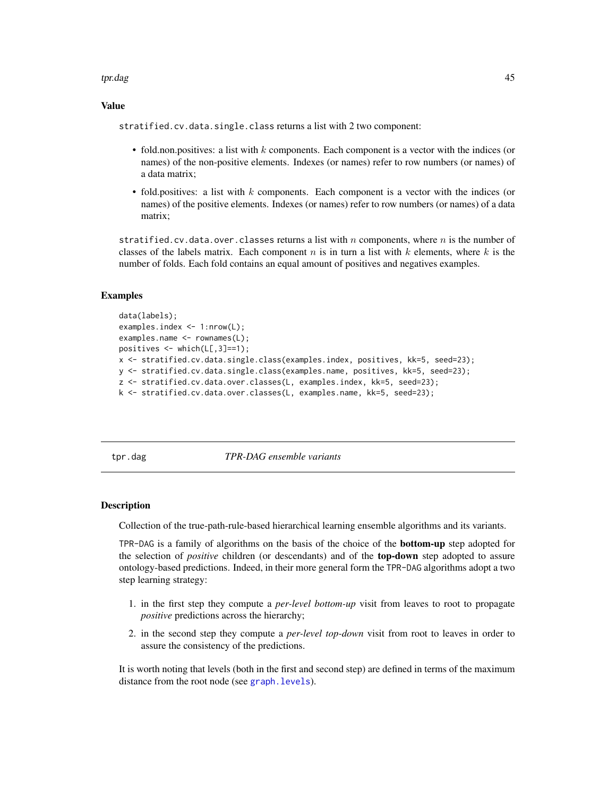#### <span id="page-44-0"></span>tpr.dag 45

#### Value

stratified.cv.data.single.class returns a list with 2 two component:

- fold.non.positives: a list with  $k$  components. Each component is a vector with the indices (or names) of the non-positive elements. Indexes (or names) refer to row numbers (or names) of a data matrix;
- fold.positives: a list with  $k$  components. Each component is a vector with the indices (or names) of the positive elements. Indexes (or names) refer to row numbers (or names) of a data matrix;

stratified.cv.data.over.classes returns a list with n components, where n is the number of classes of the labels matrix. Each component n is in turn a list with k elements, where k is the number of folds. Each fold contains an equal amount of positives and negatives examples.

#### Examples

```
data(labels);
examples.index <- 1:nrow(L);
examples.name <- rownames(L);
positives \leq which(L[,3]==1);
x <- stratified.cv.data.single.class(examples.index, positives, kk=5, seed=23);
y <- stratified.cv.data.single.class(examples.name, positives, kk=5, seed=23);
z <- stratified.cv.data.over.classes(L, examples.index, kk=5, seed=23);
k <- stratified.cv.data.over.classes(L, examples.name, kk=5, seed=23);
```
<span id="page-44-1"></span>tpr.dag *TPR-DAG ensemble variants*

#### **Description**

Collection of the true-path-rule-based hierarchical learning ensemble algorithms and its variants.

TPR-DAG is a family of algorithms on the basis of the choice of the bottom-up step adopted for the selection of *positive* children (or descendants) and of the top-down step adopted to assure ontology-based predictions. Indeed, in their more general form the TPR-DAG algorithms adopt a two step learning strategy:

- 1. in the first step they compute a *per-level bottom-up* visit from leaves to root to propagate *positive* predictions across the hierarchy;
- 2. in the second step they compute a *per-level top-down* visit from root to leaves in order to assure the consistency of the predictions.

It is worth noting that levels (both in the first and second step) are defined in terms of the maximum distance from the root node (see [graph.levels](#page-28-1)).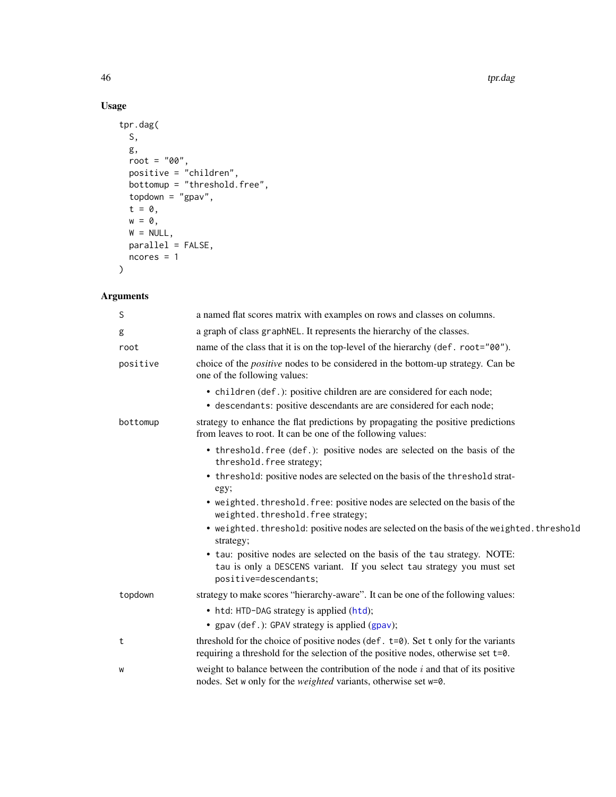### Usage

```
tpr.dag(
 S,
  g,
  root = "00",positive = "children",
  bottomup = "threshold.free",
  topdown = "gpav",t = 0,
  w = 0,W = NULL,parallel = FALSE,
  ncores = 1
\mathcal{L}
```
### Arguments

| S        | a named flat scores matrix with examples on rows and classes on columns.                                                                                                          |
|----------|-----------------------------------------------------------------------------------------------------------------------------------------------------------------------------------|
| g        | a graph of class graph NEL. It represents the hierarchy of the classes.                                                                                                           |
| root     | name of the class that it is on the top-level of the hierarchy (def. root="00").                                                                                                  |
| positive | choice of the <i>positive</i> nodes to be considered in the bottom-up strategy. Can be<br>one of the following values:                                                            |
|          | • children (def.): positive children are are considered for each node;                                                                                                            |
|          | • descendants: positive descendants are are considered for each node;                                                                                                             |
| bottomup | strategy to enhance the flat predictions by propagating the positive predictions<br>from leaves to root. It can be one of the following values:                                   |
|          | • threshold. free (def.): positive nodes are selected on the basis of the<br>threshold. free strategy;                                                                            |
|          | • threshold: positive nodes are selected on the basis of the threshold strat-<br>egy;                                                                                             |
|          | • weighted. threshold. free: positive nodes are selected on the basis of the<br>weighted.threshold.free strategy;                                                                 |
|          | • weighted. threshold: positive nodes are selected on the basis of the weighted. threshold<br>strategy;                                                                           |
|          | • tau: positive nodes are selected on the basis of the tau strategy. NOTE:                                                                                                        |
|          | tau is only a DESCENS variant. If you select tau strategy you must set<br>positive=descendants;                                                                                   |
| topdown  | strategy to make scores "hierarchy-aware". It can be one of the following values:                                                                                                 |
|          | • htd: HTD-DAG strategy is applied (htd);                                                                                                                                         |
|          | • gpav (def.): GPAV strategy is applied (gpav);                                                                                                                                   |
| t        | threshold for the choice of positive nodes (def. $t = 0$ ). Set t only for the variants<br>requiring a threshold for the selection of the positive nodes, otherwise set $t = 0$ . |
| W        | weight to balance between the contribution of the node $i$ and that of its positive<br>nodes. Set w only for the <i>weighted</i> variants, otherwise set w=0.                     |

<span id="page-45-0"></span>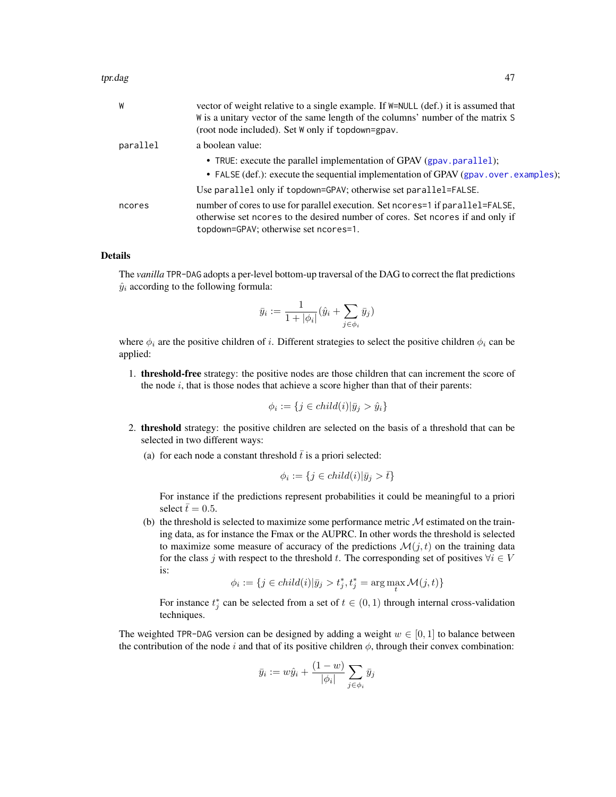#### <span id="page-46-0"></span>tpr.dag 47

| W        | vector of weight relative to a single example. If $W = NULL$ (def.) it is assumed that |
|----------|----------------------------------------------------------------------------------------|
|          | W is a unitary vector of the same length of the columns' number of the matrix S        |
|          | (root node included). Set W only if topdown=gpav.                                      |
| parallel | a boolean value:                                                                       |
|          | • TRUE: execute the parallel implementation of GPAV (gpav.parallel);                   |
|          | • FALSE (def.): execute the sequential implementation of GPAV (gpav.over.examples);    |
|          | Use parallel only if topdown=GPAV; otherwise set parallel=FALSE.                       |
| ncores   | number of cores to use for parallel execution. Set ncores = 1 if parallel = FALSE,     |
|          | otherwise set ncores to the desired number of cores. Set ncores if and only if         |
|          | topdown=GPAV; otherwise set ncores=1.                                                  |

### Details

The *vanilla* TPR-DAG adopts a per-level bottom-up traversal of the DAG to correct the flat predictions  $\hat{y}_i$  according to the following formula:

$$
\bar{y}_i := \frac{1}{1+|\phi_i|}(\hat{y}_i + \sum_{j \in \phi_i} \bar{y}_j)
$$

where  $\phi_i$  are the positive children of i. Different strategies to select the positive children  $\phi_i$  can be applied:

1. threshold-free strategy: the positive nodes are those children that can increment the score of the node  $i$ , that is those nodes that achieve a score higher than that of their parents:

$$
\phi_i := \{ j \in child(i) | \bar{y}_j > \hat{y}_i \}
$$

- 2. threshold strategy: the positive children are selected on the basis of a threshold that can be selected in two different ways:
	- (a) for each node a constant threshold  $\bar{t}$  is a priori selected:

$$
\phi_i := \{ j \in child(i) | \bar{y}_j > \bar{t} \}
$$

For instance if the predictions represent probabilities it could be meaningful to a priori select  $\bar{t}= 0.5$ .

(b) the threshold is selected to maximize some performance metric  $M$  estimated on the training data, as for instance the Fmax or the AUPRC. In other words the threshold is selected to maximize some measure of accuracy of the predictions  $\mathcal{M}(j, t)$  on the training data for the class j with respect to the threshold t. The corresponding set of positives  $\forall i \in V$ is:

$$
\phi_i := \{ j \in child(i) | \bar{y}_j > t_j^*, t_j^* = \arg \max_t \mathcal{M}(j, t) \}
$$

For instance  $t_j^*$  can be selected from a set of  $t \in (0,1)$  through internal cross-validation techniques.

The weighted TPR-DAG version can be designed by adding a weight  $w \in [0, 1]$  to balance between the contribution of the node i and that of its positive children  $\phi$ , through their convex combination:

$$
\bar{y}_i := w\hat{y}_i + \frac{(1-w)}{|\phi_i|} \sum_{j \in \phi_i} \bar{y}_j
$$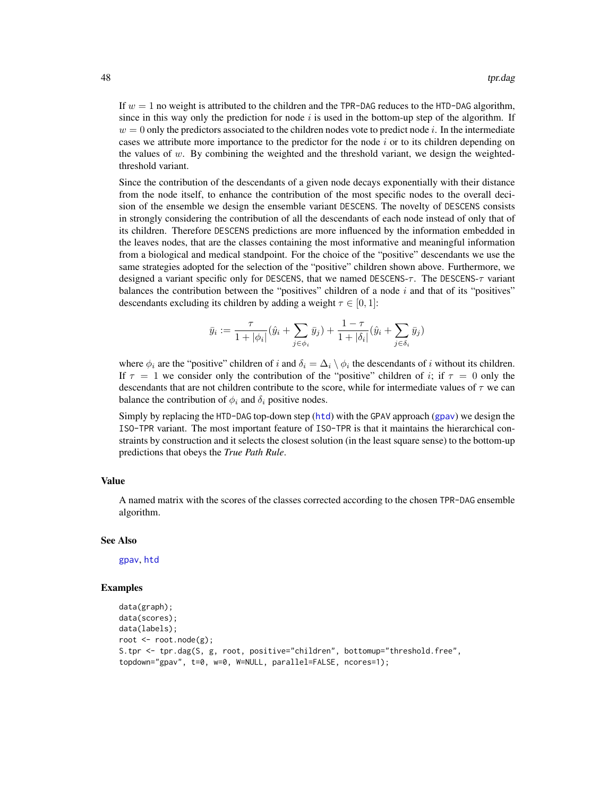<span id="page-47-0"></span>If  $w = 1$  no weight is attributed to the children and the TPR-DAG reduces to the HTD-DAG algorithm, since in this way only the prediction for node i is used in the bottom-up step of the algorithm. If  $w = 0$  only the predictors associated to the children nodes vote to predict node i. In the intermediate cases we attribute more importance to the predictor for the node  $i$  or to its children depending on the values of  $w$ . By combining the weighted and the threshold variant, we design the weightedthreshold variant.

Since the contribution of the descendants of a given node decays exponentially with their distance from the node itself, to enhance the contribution of the most specific nodes to the overall decision of the ensemble we design the ensemble variant DESCENS. The novelty of DESCENS consists in strongly considering the contribution of all the descendants of each node instead of only that of its children. Therefore DESCENS predictions are more influenced by the information embedded in the leaves nodes, that are the classes containing the most informative and meaningful information from a biological and medical standpoint. For the choice of the "positive" descendants we use the same strategies adopted for the selection of the "positive" children shown above. Furthermore, we designed a variant specific only for DESCENS, that we named DESCENS- $\tau$ . The DESCENS- $\tau$  variant balances the contribution between the "positives" children of a node  $i$  and that of its "positives" descendants excluding its children by adding a weight  $\tau \in [0, 1]$ :

$$
\bar{y}_i := \frac{\tau}{1 + |\phi_i|} (\hat{y}_i + \sum_{j \in \phi_i} \bar{y}_j) + \frac{1 - \tau}{1 + |\delta_i|} (\hat{y}_i + \sum_{j \in \delta_i} \bar{y}_j)
$$

where  $\phi_i$  are the "positive" children of i and  $\delta_i = \Delta_i \setminus \phi_i$  the descendants of i without its children. If  $\tau = 1$  we consider only the contribution of the "positive" children of i; if  $\tau = 0$  only the descendants that are not children contribute to the score, while for intermediate values of  $\tau$  we can balance the contribution of  $\phi_i$  and  $\delta_i$  positive nodes.

Simply by replacing the HTD-DAG top-down step ([htd](#page-30-1)) with the GPAV approach ([gpav](#page-23-1)) we design the ISO-TPR variant. The most important feature of ISO-TPR is that it maintains the hierarchical constraints by construction and it selects the closest solution (in the least square sense) to the bottom-up predictions that obeys the *True Path Rule*.

#### Value

A named matrix with the scores of the classes corrected according to the chosen TPR-DAG ensemble algorithm.

#### See Also

[gpav](#page-23-1), [htd](#page-30-1)

```
data(graph);
data(scores);
data(labels);
root <- root.node(g);
S.tpr <- tpr.dag(S, g, root, positive="children", bottomup="threshold.free",
topdown="gpav", t=0, w=0, W=NULL, parallel=FALSE, ncores=1);
```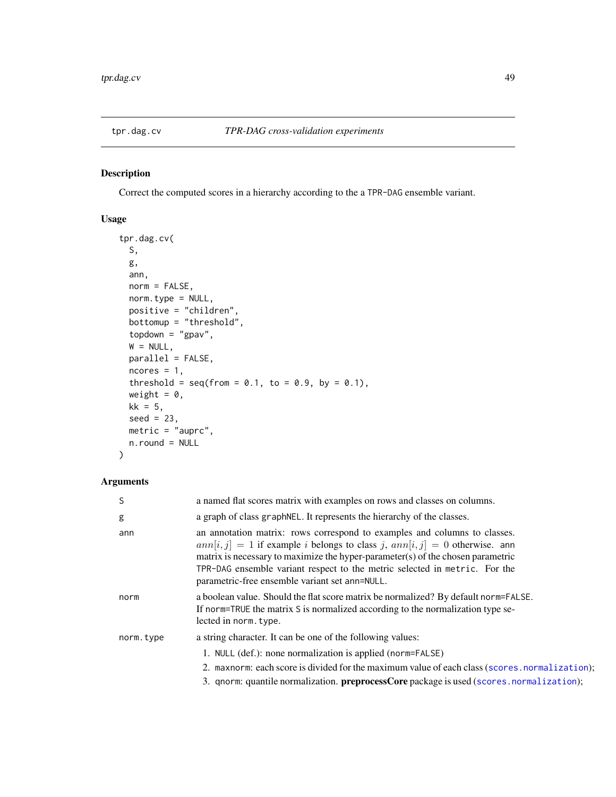<span id="page-48-0"></span>

Correct the computed scores in a hierarchy according to the a TPR-DAG ensemble variant.

### Usage

```
tpr.dag.cv(
 S,
 g,
 ann,
 norm = FALSE,
 norm.type = NULL,
 positive = "children",
 bottomup = "threshold",
 topdown = "gpav",
 W = NULL,parallel = FALSE,
 ncores = 1,
 threshold = seq(from = 0.1, to = 0.9, by = 0.1),weight = 0,
 kk = 5,seed = 23,
 metric = "auprc",
 n.round = NULL
)
```
### Arguments

| a named flat scores matrix with examples on rows and classes on columns.                                                                                                                                                                                                                                                                                                               |
|----------------------------------------------------------------------------------------------------------------------------------------------------------------------------------------------------------------------------------------------------------------------------------------------------------------------------------------------------------------------------------------|
| a graph of class graphNEL. It represents the hierarchy of the classes.                                                                                                                                                                                                                                                                                                                 |
| an annotation matrix: rows correspond to examples and columns to classes.<br>$ann[i, j] = 1$ if example <i>i</i> belongs to class j, $ann[i, j] = 0$ otherwise. ann<br>matrix is necessary to maximize the hyper-parameter(s) of the chosen parametric<br>TPR-DAG ensemble variant respect to the metric selected in metric. For the<br>parametric-free ensemble variant set ann=NULL. |
| a boolean value. Should the flat score matrix be normalized? By default norm=FALSE.<br>If norm=TRUE the matrix S is normalized according to the normalization type se-<br>lected in norm. type.                                                                                                                                                                                        |
| a string character. It can be one of the following values:                                                                                                                                                                                                                                                                                                                             |
| 1. NULL (def.): none normalization is applied (norm=FALSE)<br>2. maxnorm: each score is divided for the maximum value of each class (scores.normalization);<br>3. qnorm: quantile normalization. preprocessCore package is used (scores.normalization);                                                                                                                                |
|                                                                                                                                                                                                                                                                                                                                                                                        |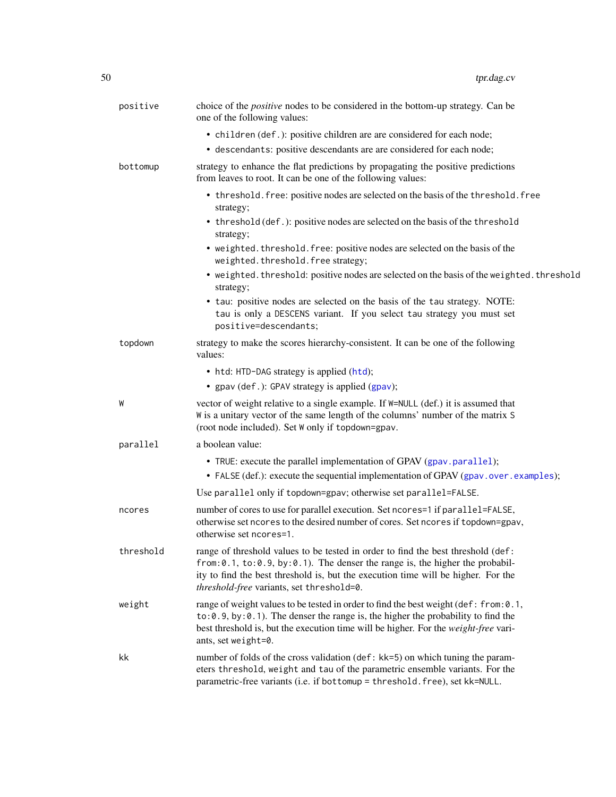<span id="page-49-0"></span>

| positive  | choice of the <i>positive</i> nodes to be considered in the bottom-up strategy. Can be<br>one of the following values:                                                                                                                                                                                |
|-----------|-------------------------------------------------------------------------------------------------------------------------------------------------------------------------------------------------------------------------------------------------------------------------------------------------------|
|           | • children (def.): positive children are are considered for each node;                                                                                                                                                                                                                                |
|           | • descendants: positive descendants are are considered for each node;                                                                                                                                                                                                                                 |
| bottomup  | strategy to enhance the flat predictions by propagating the positive predictions<br>from leaves to root. It can be one of the following values:                                                                                                                                                       |
|           | • threshold. free: positive nodes are selected on the basis of the threshold. free<br>strategy;                                                                                                                                                                                                       |
|           | • threshold (def.): positive nodes are selected on the basis of the threshold<br>strategy;                                                                                                                                                                                                            |
|           | • weighted. threshold. free: positive nodes are selected on the basis of the<br>weighted.threshold.free strategy;                                                                                                                                                                                     |
|           | • weighted. threshold: positive nodes are selected on the basis of the weighted. threshold<br>strategy;                                                                                                                                                                                               |
|           | • tau: positive nodes are selected on the basis of the tau strategy. NOTE:<br>tau is only a DESCENS variant. If you select tau strategy you must set<br>positive=descendants;                                                                                                                         |
| topdown   | strategy to make the scores hierarchy-consistent. It can be one of the following<br>values:                                                                                                                                                                                                           |
|           | • htd: HTD-DAG strategy is applied (htd);<br>• gpav (def.): GPAV strategy is applied (gpav);                                                                                                                                                                                                          |
| W         | vector of weight relative to a single example. If W=NULL (def.) it is assumed that<br>W is a unitary vector of the same length of the columns' number of the matrix S<br>(root node included). Set W only if topdown=gpav.                                                                            |
| parallel  | a boolean value:                                                                                                                                                                                                                                                                                      |
|           | • TRUE: execute the parallel implementation of GPAV (gpav.parallel);<br>• FALSE (def.): execute the sequential implementation of GPAV (gpav.over.examples);                                                                                                                                           |
|           | Use parallel only if topdown=gpav; otherwise set parallel=FALSE.                                                                                                                                                                                                                                      |
| ncores    | number of cores to use for parallel execution. Set ncores=1 if parallel=FALSE,<br>otherwise set ncores to the desired number of cores. Set ncores if topdown=gpav,<br>otherwise set ncores=1.                                                                                                         |
| threshold | range of threshold values to be tested in order to find the best threshold (def:<br>from: 0.1, to: 0.9, by: 0.1). The denser the range is, the higher the probabil-<br>ity to find the best threshold is, but the execution time will be higher. For the<br>threshold-free variants, set threshold=0. |
| weight    | range of weight values to be tested in order to find the best weight (def: from: 0.1,<br>$to: 0.9$ , by: 0.1). The denser the range is, the higher the probability to find the<br>best threshold is, but the execution time will be higher. For the weight-free vari-<br>ants, set weight=0.          |
| kk        | number of folds of the cross validation (def: kk=5) on which tuning the param-<br>eters threshold, weight and tau of the parametric ensemble variants. For the<br>parametric-free variants (i.e. if bottomup = threshold.free), set kk=NULL.                                                          |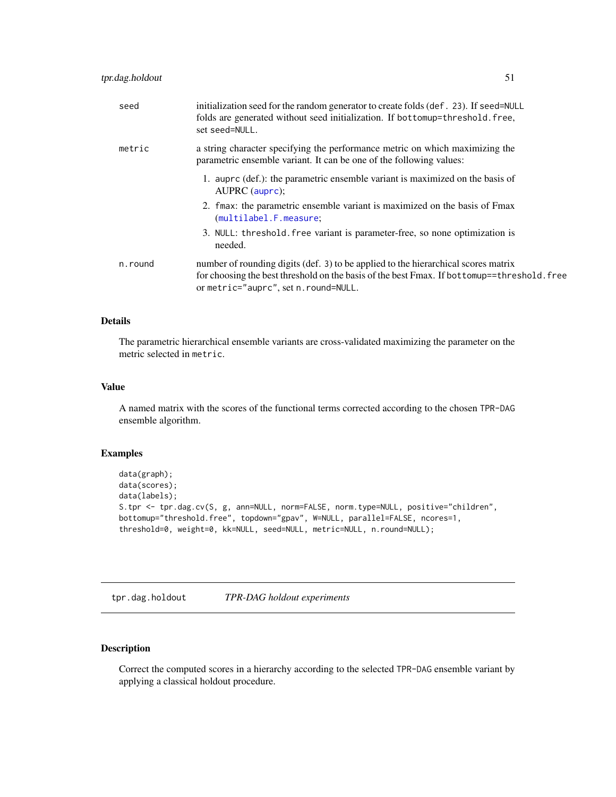<span id="page-50-0"></span>

| seed | initialization seed for the random generator to create folds (def. 23). If seed=NULL |
|------|--------------------------------------------------------------------------------------|
|      | folds are generated without seed initialization. If bottomup=threshold. free,        |

| metric  | a string character specifying the performance metric on which maximizing the<br>parametric ensemble variant. It can be one of the following values: |
|---------|-----------------------------------------------------------------------------------------------------------------------------------------------------|
|         | 1. auprc (def.): the parametric ensemble variant is maximized on the basis of<br>AUPRC (auprc);                                                     |
|         | 2. fmax: the parametric ensemble variant is maximized on the basis of Fmax<br>(multilabel.F.measure;                                                |
|         | 3. NULL: threshold, free variant is parameter-free, so none optimization is<br>needed.                                                              |
| n.round | number of rounding digits (def. 3) to be applied to the hierarchical scores matrix                                                                  |

## for choosing the best threshold on the basis of the best Fmax. If bottomup==threshold.free or metric="auprc", set n.round=NULL.

### Details

The parametric hierarchical ensemble variants are cross-validated maximizing the parameter on the metric selected in metric.

#### Value

A named matrix with the scores of the functional terms corrected according to the chosen TPR-DAG ensemble algorithm.

### Examples

```
data(graph);
data(scores);
data(labels);
S.tpr <- tpr.dag.cv(S, g, ann=NULL, norm=FALSE, norm.type=NULL, positive="children",
bottomup="threshold.free", topdown="gpav", W=NULL, parallel=FALSE, ncores=1,
threshold=0, weight=0, kk=NULL, seed=NULL, metric=NULL, n.round=NULL);
```
tpr.dag.holdout *TPR-DAG holdout experiments*

set seed=NULL.

### Description

Correct the computed scores in a hierarchy according to the selected TPR-DAG ensemble variant by applying a classical holdout procedure.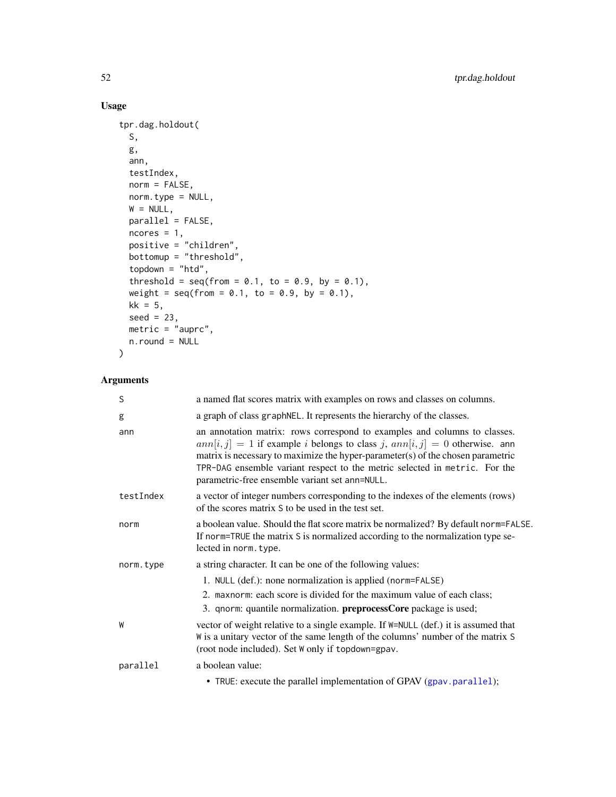### Usage

```
tpr.dag.holdout(
 S,
 g,
 ann,
 testIndex,
 norm = FALSE,
 norm.type = NULL,
 W = NULL,parallel = FALSE,
 ncores = 1,
 positive = "children",
 bottomup = "threshold",
 topdown = "htd",
  threshold = seq(from = 0.1, to = 0.9, by = 0.1),weight = seq(from = 0.1, to = 0.9, by = 0.1),kk = 5,
 seed = 23,
 metric = "auprc",
 n.round = NULL
\mathcal{L}
```
### Arguments

| a named flat scores matrix with examples on rows and classes on columns.                                                                                                                                                                                                                                                                                                                       |
|------------------------------------------------------------------------------------------------------------------------------------------------------------------------------------------------------------------------------------------------------------------------------------------------------------------------------------------------------------------------------------------------|
| a graph of class graphNEL. It represents the hierarchy of the classes.                                                                                                                                                                                                                                                                                                                         |
| an annotation matrix: rows correspond to examples and columns to classes.<br>$ann[i, j] = 1$ if example <i>i</i> belongs to class <i>j</i> , $ann[i, j] = 0$ otherwise. ann<br>matrix is necessary to maximize the hyper-parameter(s) of the chosen parametric<br>TPR-DAG ensemble variant respect to the metric selected in metric. For the<br>parametric-free ensemble variant set ann=NULL. |
| a vector of integer numbers corresponding to the indexes of the elements (rows)<br>of the scores matrix S to be used in the test set.                                                                                                                                                                                                                                                          |
| a boolean value. Should the flat score matrix be normalized? By default norm=FALSE.<br>If norm=TRUE the matrix S is normalized according to the normalization type se-<br>lected in norm. type.                                                                                                                                                                                                |
| a string character. It can be one of the following values:                                                                                                                                                                                                                                                                                                                                     |
| 1. NULL (def.): none normalization is applied (norm=FALSE)                                                                                                                                                                                                                                                                                                                                     |
| 2. maxnorm: each score is divided for the maximum value of each class;                                                                                                                                                                                                                                                                                                                         |
| 3. qnorm: quantile normalization. <b>preprocessCore</b> package is used;                                                                                                                                                                                                                                                                                                                       |
| vector of weight relative to a single example. If $W = NULL$ (def.) it is assumed that<br>W is a unitary vector of the same length of the columns' number of the matrix S<br>(root node included). Set W only if topdown=gpav.                                                                                                                                                                 |
| a boolean value:                                                                                                                                                                                                                                                                                                                                                                               |
| • TRUE: execute the parallel implementation of GPAV (gpav.parallel);                                                                                                                                                                                                                                                                                                                           |
|                                                                                                                                                                                                                                                                                                                                                                                                |

<span id="page-51-0"></span>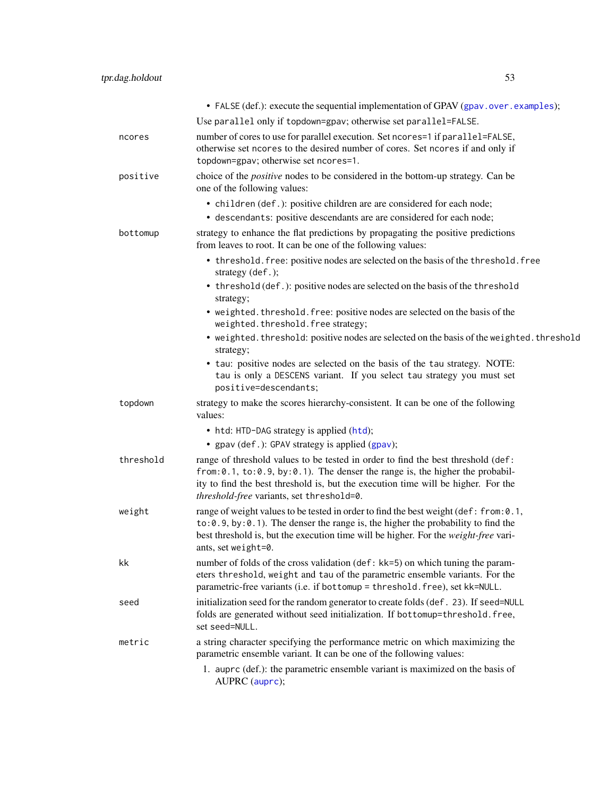<span id="page-52-0"></span>

|           | • FALSE (def.): execute the sequential implementation of GPAV (gpav.over.examples);                                                                                                                                                                                                                            |
|-----------|----------------------------------------------------------------------------------------------------------------------------------------------------------------------------------------------------------------------------------------------------------------------------------------------------------------|
|           | Use parallel only if topdown=gpav; otherwise set parallel=FALSE.                                                                                                                                                                                                                                               |
| ncores    | number of cores to use for parallel execution. Set ncores=1 if parallel=FALSE,<br>otherwise set ncores to the desired number of cores. Set ncores if and only if<br>topdown=gpav; otherwise set ncores=1.                                                                                                      |
| positive  | choice of the <i>positive</i> nodes to be considered in the bottom-up strategy. Can be<br>one of the following values:                                                                                                                                                                                         |
|           | • children (def.): positive children are are considered for each node;<br>• descendants: positive descendants are are considered for each node;                                                                                                                                                                |
| bottomup  | strategy to enhance the flat predictions by propagating the positive predictions<br>from leaves to root. It can be one of the following values:                                                                                                                                                                |
|           | • threshold. free: positive nodes are selected on the basis of the threshold. free<br>strategy (def.);                                                                                                                                                                                                         |
|           | • threshold (def.): positive nodes are selected on the basis of the threshold<br>strategy;                                                                                                                                                                                                                     |
|           | • weighted. threshold. free: positive nodes are selected on the basis of the<br>weighted.threshold.free strategy;                                                                                                                                                                                              |
|           | • weighted. threshold: positive nodes are selected on the basis of the weighted. threshold<br>strategy;                                                                                                                                                                                                        |
|           | • tau: positive nodes are selected on the basis of the tau strategy. NOTE:<br>tau is only a DESCENS variant. If you select tau strategy you must set<br>positive=descendants;                                                                                                                                  |
| topdown   | strategy to make the scores hierarchy-consistent. It can be one of the following<br>values:                                                                                                                                                                                                                    |
|           | • htd: HTD-DAG strategy is applied (htd);                                                                                                                                                                                                                                                                      |
|           | • gpav (def.): GPAV strategy is applied (gpav);                                                                                                                                                                                                                                                                |
| threshold | range of threshold values to be tested in order to find the best threshold (def:<br>from: $0.1$ , to: $0.9$ , by: $0.1$ ). The denser the range is, the higher the probabil-<br>ity to find the best threshold is, but the execution time will be higher. For the<br>threshold-free variants, set threshold=0. |
| weight    | range of weight values to be tested in order to find the best weight (def: from: 0.1,<br>$to: 0.9$ , by: $0.1$ ). The denser the range is, the higher the probability to find the<br>best threshold is, but the execution time will be higher. For the weight-free vari-<br>ants, set weight=0.                |
| kk        | number of folds of the cross validation (def: kk=5) on which tuning the param-<br>eters threshold, weight and tau of the parametric ensemble variants. For the<br>parametric-free variants (i.e. if bottomup = threshold. free), set kk=NULL.                                                                  |
| seed      | initialization seed for the random generator to create folds (def. 23). If seed=NULL<br>folds are generated without seed initialization. If bottomup=threshold.free,<br>set seed=NULL.                                                                                                                         |
| metric    | a string character specifying the performance metric on which maximizing the<br>parametric ensemble variant. It can be one of the following values:                                                                                                                                                            |
|           | 1. auprc (def.): the parametric ensemble variant is maximized on the basis of<br>AUPRC (auprc);                                                                                                                                                                                                                |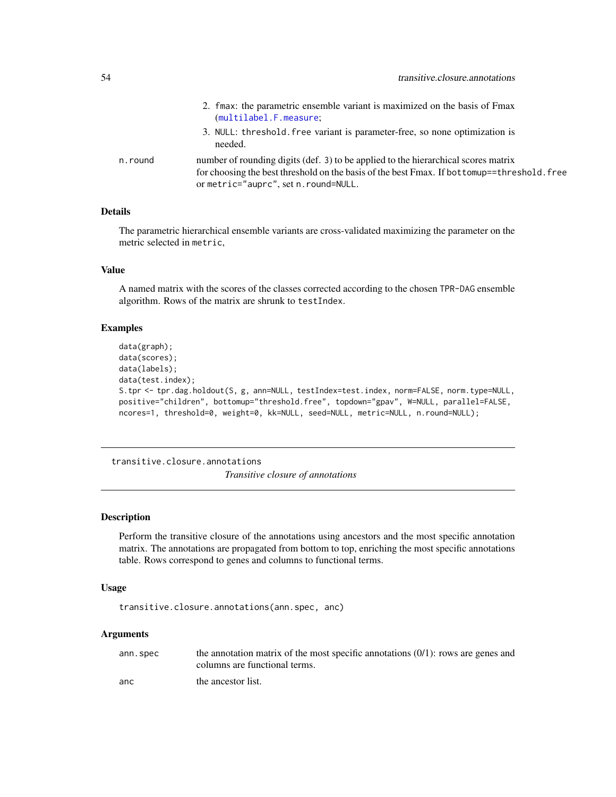<span id="page-53-0"></span>

|         | 2. fmax: the parametric ensemble variant is maximized on the basis of Fmax<br>(multilabel.F.measure;                                                                                                                       |
|---------|----------------------------------------------------------------------------------------------------------------------------------------------------------------------------------------------------------------------------|
|         | 3. NULL: threshold. free variant is parameter-free, so none optimization is<br>needed.                                                                                                                                     |
| n.round | number of rounding digits (def. 3) to be applied to the hierarchical scores matrix<br>for choosing the best threshold on the basis of the best Fmax. If bottomup==threshold. free<br>or metric="auprc", set n. round=NULL. |

### Details

The parametric hierarchical ensemble variants are cross-validated maximizing the parameter on the metric selected in metric,

#### Value

A named matrix with the scores of the classes corrected according to the chosen TPR-DAG ensemble algorithm. Rows of the matrix are shrunk to testIndex.

### Examples

```
data(graph);
data(scores);
data(labels);
data(test.index);
S.tpr <- tpr.dag.holdout(S, g, ann=NULL, testIndex=test.index, norm=FALSE, norm.type=NULL,
positive="children", bottomup="threshold.free", topdown="gpav", W=NULL, parallel=FALSE,
ncores=1, threshold=0, weight=0, kk=NULL, seed=NULL, metric=NULL, n.round=NULL);
```
transitive.closure.annotations *Transitive closure of annotations*

#### **Description**

Perform the transitive closure of the annotations using ancestors and the most specific annotation matrix. The annotations are propagated from bottom to top, enriching the most specific annotations table. Rows correspond to genes and columns to functional terms.

#### Usage

```
transitive.closure.annotations(ann.spec, anc)
```
#### Arguments

| ann.spec | the annotation matrix of the most specific annotations $(0/1)$ : rows are genes and |
|----------|-------------------------------------------------------------------------------------|
|          | columns are functional terms.                                                       |
| anc      | the ancestor list.                                                                  |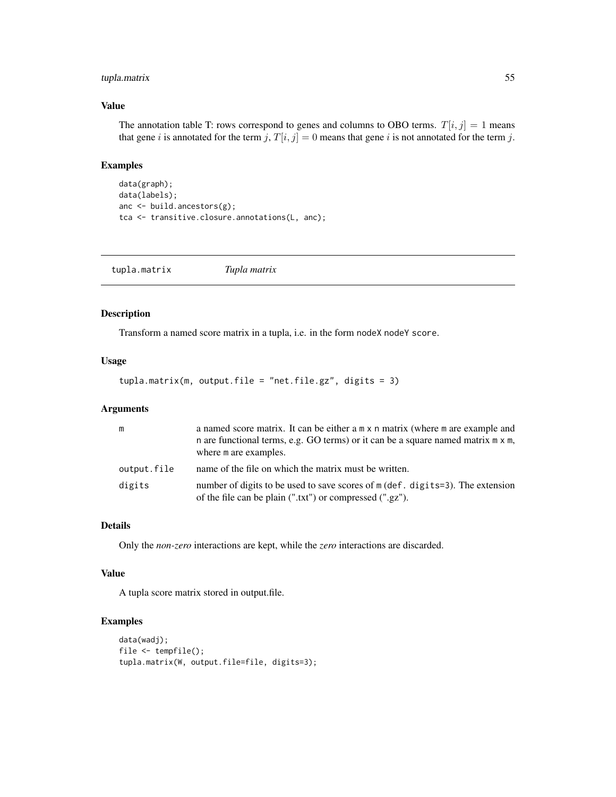### <span id="page-54-0"></span>tupla.matrix 55

### Value

The annotation table T: rows correspond to genes and columns to OBO terms.  $T[i, j] = 1$  means that gene i is annotated for the term j,  $T[i, j] = 0$  means that gene i is not annotated for the term j.

### Examples

```
data(graph);
data(labels);
anc <- build.ancestors(g);
tca <- transitive.closure.annotations(L, anc);
```
tupla.matrix *Tupla matrix*

#### Description

Transform a named score matrix in a tupla, i.e. in the form nodeX nodeY score.

#### Usage

```
tupla.matrix(m, output.file = "net.file.gz", digits = 3)
```
### Arguments

| m           | a named score matrix. It can be either a m x n matrix (where m are example and<br>n are functional terms, e.g. GO terms) or it can be a square named matrix m x m,<br>where m are examples. |
|-------------|---------------------------------------------------------------------------------------------------------------------------------------------------------------------------------------------|
| output.file | name of the file on which the matrix must be written.                                                                                                                                       |
| digits      | number of digits to be used to save scores of m (def. digits=3). The extension<br>of the file can be plain (".txt") or compressed (".gz").                                                  |

### Details

Only the *non-zero* interactions are kept, while the *zero* interactions are discarded.

#### Value

A tupla score matrix stored in output.file.

```
data(wadj);
file <- tempfile();
tupla.matrix(W, output.file=file, digits=3);
```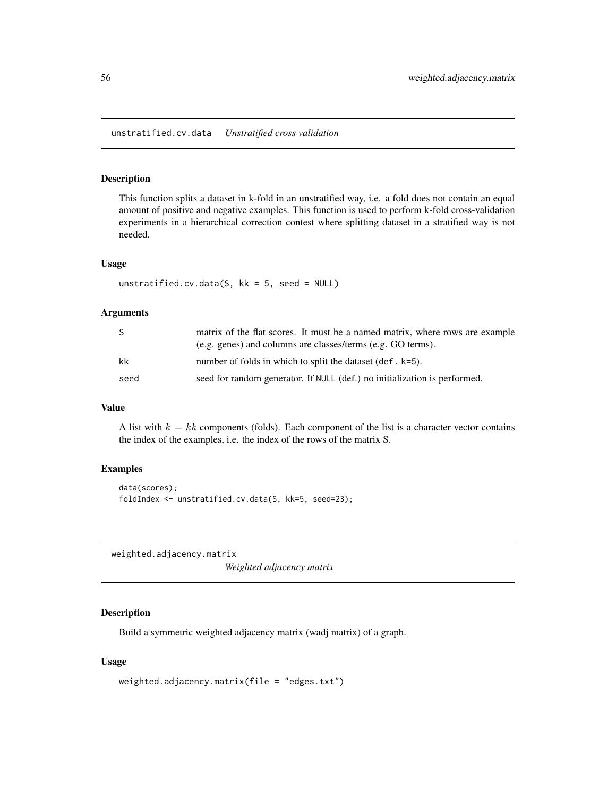<span id="page-55-0"></span>This function splits a dataset in k-fold in an unstratified way, i.e. a fold does not contain an equal amount of positive and negative examples. This function is used to perform k-fold cross-validation experiments in a hierarchical correction contest where splitting dataset in a stratified way is not needed.

### Usage

```
unstratified.cv.data(S, kk = 5, seed = NULL)
```
#### Arguments

| -S   | matrix of the flat scores. It must be a named matrix, where rows are example |
|------|------------------------------------------------------------------------------|
|      | (e.g. genes) and columns are classes/terms (e.g. GO terms).                  |
| kk   | number of folds in which to split the dataset (def. $k=5$ ).                 |
| seed | seed for random generator. If NULL (def.) no initialization is performed.    |

### Value

A list with  $k = kk$  components (folds). Each component of the list is a character vector contains the index of the examples, i.e. the index of the rows of the matrix S.

#### Examples

```
data(scores);
foldIndex <- unstratified.cv.data(S, kk=5, seed=23);
```
weighted.adjacency.matrix

*Weighted adjacency matrix*

### Description

Build a symmetric weighted adjacency matrix (wadj matrix) of a graph.

#### Usage

```
weighted.adjacency.matrix(file = "edges.txt")
```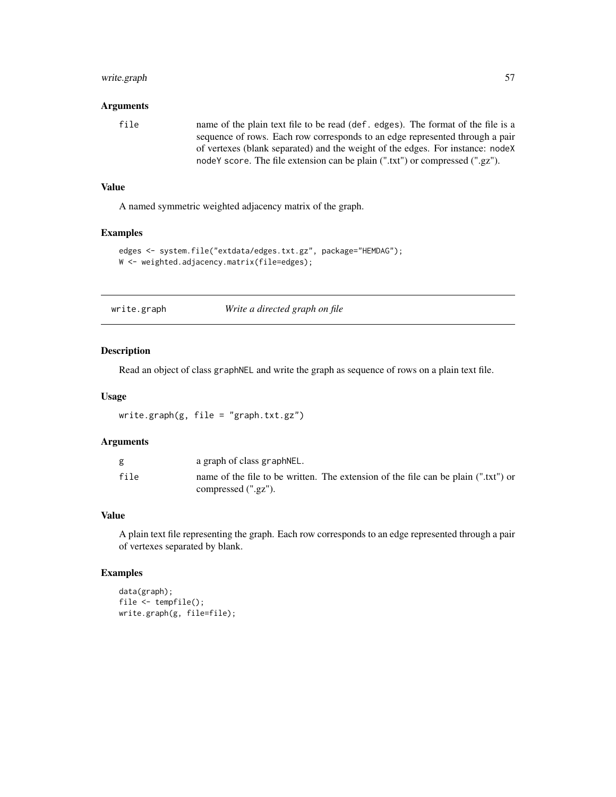### <span id="page-56-0"></span>write.graph 57

#### Arguments

file name of the plain text file to be read (def. edges). The format of the file is a sequence of rows. Each row corresponds to an edge represented through a pair of vertexes (blank separated) and the weight of the edges. For instance: nodeX nodeY score. The file extension can be plain (".txt") or compressed (".gz").

### Value

A named symmetric weighted adjacency matrix of the graph.

#### Examples

```
edges <- system.file("extdata/edges.txt.gz", package="HEMDAG");
W <- weighted.adjacency.matrix(file=edges);
```
write.graph *Write a directed graph on file*

#### Description

Read an object of class graphNEL and write the graph as sequence of rows on a plain text file.

#### Usage

```
write.graph(g, file = "graph.txt.gz")
```
#### Arguments

| g    | a graph of class graphNEL.                                                                                   |
|------|--------------------------------------------------------------------------------------------------------------|
| file | name of the file to be written. The extension of the file can be plain (".txt") or<br>compressed $(".gz")$ . |

### Value

A plain text file representing the graph. Each row corresponds to an edge represented through a pair of vertexes separated by blank.

```
data(graph);
file <- tempfile();
write.graph(g, file=file);
```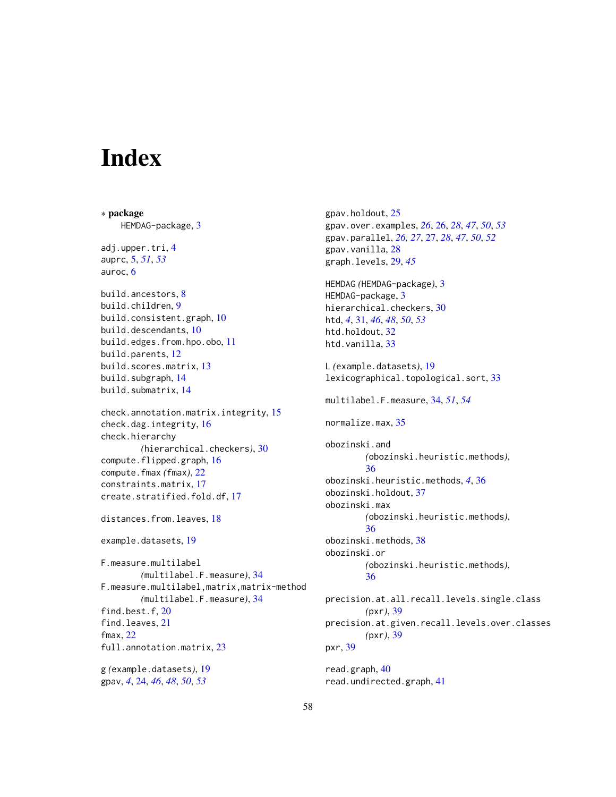# <span id="page-57-0"></span>**Index**

∗ package HEMDAG-package, [3](#page-2-0) adj.upper.tri, [4](#page-3-0) auprc, [5,](#page-4-0) *[51](#page-50-0)*, *[53](#page-52-0)* auroc, [6](#page-5-0) build.ancestors, [8](#page-7-0) build.children, [9](#page-8-0) build.consistent.graph, [10](#page-9-0) build.descendants, [10](#page-9-0) build.edges.from.hpo.obo, [11](#page-10-0) build.parents, [12](#page-11-0) build.scores.matrix, [13](#page-12-0) build.subgraph, [14](#page-13-0) build.submatrix, [14](#page-13-0) check.annotation.matrix.integrity, [15](#page-14-0) check.dag.integrity, [16](#page-15-0) check.hierarchy *(*hierarchical.checkers*)*, [30](#page-29-0) compute.flipped.graph, [16](#page-15-0) compute.fmax *(*fmax*)*, [22](#page-21-0) constraints.matrix, [17](#page-16-0) create.stratified.fold.df, [17](#page-16-0) distances.from.leaves, [18](#page-17-0) example.datasets, [19](#page-18-0) F.measure.multilabel *(*multilabel.F.measure*)*, [34](#page-33-0) F.measure.multilabel,matrix,matrix-method *(*multilabel.F.measure*)*, [34](#page-33-0) find.best.f, [20](#page-19-0) find.leaves, [21](#page-20-0) fmax, [22](#page-21-0) full.annotation.matrix, [23](#page-22-0) g *(*example.datasets*)*, [19](#page-18-0) gpav, *[4](#page-3-0)*, [24,](#page-23-0) *[46](#page-45-0)*, *[48](#page-47-0)*, *[50](#page-49-0)*, *[53](#page-52-0)*

gpav.holdout, [25](#page-24-0) gpav.over.examples, *[26](#page-25-0)*, [26,](#page-25-0) *[28](#page-27-0)*, *[47](#page-46-0)*, *[50](#page-49-0)*, *[53](#page-52-0)* gpav.parallel, *[26,](#page-25-0) [27](#page-26-0)*, [27,](#page-26-0) *[28](#page-27-0)*, *[47](#page-46-0)*, *[50](#page-49-0)*, *[52](#page-51-0)* gpav.vanilla, [28](#page-27-0) graph.levels, [29,](#page-28-0) *[45](#page-44-0)* HEMDAG *(*HEMDAG-package*)*, [3](#page-2-0) HEMDAG-package, [3](#page-2-0) hierarchical.checkers, [30](#page-29-0) htd, *[4](#page-3-0)*, [31,](#page-30-0) *[46](#page-45-0)*, *[48](#page-47-0)*, *[50](#page-49-0)*, *[53](#page-52-0)* htd.holdout, [32](#page-31-0) htd.vanilla, [33](#page-32-0) L *(*example.datasets*)*, [19](#page-18-0) lexicographical.topological.sort, [33](#page-32-0) multilabel.F.measure, [34,](#page-33-0) *[51](#page-50-0)*, *[54](#page-53-0)* normalize.max, [35](#page-34-0) obozinski.and *(*obozinski.heuristic.methods*)*, [36](#page-35-0) obozinski.heuristic.methods, *[4](#page-3-0)*, [36](#page-35-0) obozinski.holdout, [37](#page-36-0) obozinski.max *(*obozinski.heuristic.methods*)*, [36](#page-35-0) obozinski.methods, [38](#page-37-0) obozinski.or *(*obozinski.heuristic.methods*)*, [36](#page-35-0) precision.at.all.recall.levels.single.class *(*pxr*)*, [39](#page-38-0) precision.at.given.recall.levels.over.classes *(*pxr*)*, [39](#page-38-0) pxr, [39](#page-38-0)

read.graph, [40](#page-39-0) read.undirected.graph, [41](#page-40-0)